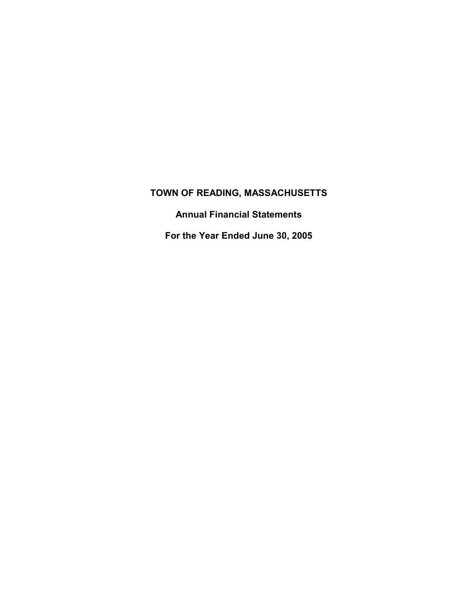**Annual Financial Statements** 

**For the Year Ended June 30, 2005**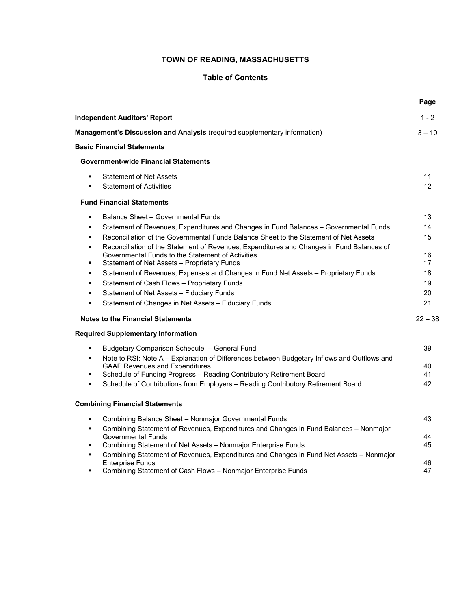## **Table of Contents**

|                                                                                                                                      | Page      |
|--------------------------------------------------------------------------------------------------------------------------------------|-----------|
| <b>Independent Auditors' Report</b>                                                                                                  | $1 - 2$   |
| Management's Discussion and Analysis (required supplementary information)                                                            | $3 - 10$  |
| <b>Basic Financial Statements</b>                                                                                                    |           |
| <b>Government-wide Financial Statements</b>                                                                                          |           |
| <b>Statement of Net Assets</b>                                                                                                       | 11        |
| <b>Statement of Activities</b><br>$\blacksquare$                                                                                     | 12        |
| <b>Fund Financial Statements</b>                                                                                                     |           |
| Balance Sheet - Governmental Funds<br>$\blacksquare$                                                                                 | 13        |
| Statement of Revenues, Expenditures and Changes in Fund Balances - Governmental Funds<br>$\blacksquare$                              | 14        |
| Reconciliation of the Governmental Funds Balance Sheet to the Statement of Net Assets<br>$\blacksquare$                              | 15        |
| Reconciliation of the Statement of Revenues, Expenditures and Changes in Fund Balances of<br>$\blacksquare$                          |           |
| Governmental Funds to the Statement of Activities                                                                                    | 16        |
| Statement of Net Assets - Proprietary Funds<br>$\blacksquare$                                                                        | 17        |
| Statement of Revenues, Expenses and Changes in Fund Net Assets - Proprietary Funds<br>٠<br>$\blacksquare$                            | 18        |
| Statement of Cash Flows - Proprietary Funds                                                                                          | 19        |
| Statement of Net Assets - Fiduciary Funds<br>٠                                                                                       | 20        |
| Statement of Changes in Net Assets - Fiduciary Funds<br>$\blacksquare$                                                               | 21        |
| <b>Notes to the Financial Statements</b>                                                                                             | $22 - 38$ |
| <b>Required Supplementary Information</b>                                                                                            |           |
| Budgetary Comparison Schedule - General Fund<br>٠                                                                                    | 39        |
| Note to RSI: Note A - Explanation of Differences between Budgetary Inflows and Outflows and<br>٠                                     |           |
| <b>GAAP Revenues and Expenditures</b>                                                                                                | 40        |
| Schedule of Funding Progress - Reading Contributory Retirement Board<br>$\blacksquare$                                               | 41        |
| Schedule of Contributions from Employers - Reading Contributory Retirement Board<br>$\blacksquare$                                   | 42        |
| <b>Combining Financial Statements</b>                                                                                                |           |
| Combining Balance Sheet - Nonmajor Governmental Funds<br>٠                                                                           | 43        |
| Combining Statement of Revenues, Expenditures and Changes in Fund Balances - Nonmajor<br>٠                                           |           |
| <b>Governmental Funds</b>                                                                                                            | 44        |
| Combining Statement of Net Assets - Nonmajor Enterprise Funds<br>$\blacksquare$                                                      | 45        |
| Combining Statement of Revenues, Expenditures and Changes in Fund Net Assets - Nonmajor<br>$\blacksquare$<br><b>Enterprise Funds</b> | 46        |
| Combining Statement of Cash Flows - Nonmajor Enterprise Funds                                                                        | 47        |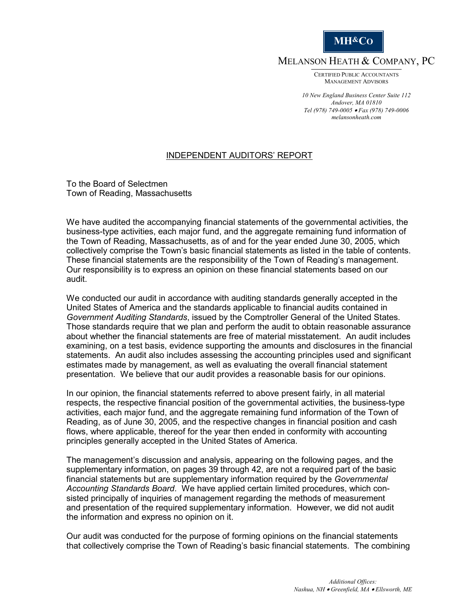

MELANSON HEATH & COMPANY, PC

CERTIFIED PUBLIC ACCOUNTANTS MANAGEMENT ADVISORS

*10 New England Business Center Suite 112 Andover, MA 01810 Tel (978) 749-0005* • *Fax (978) 749-0006 melansonheath.com*

## INDEPENDENT AUDITORS' REPORT

To the Board of Selectmen Town of Reading, Massachusetts

We have audited the accompanying financial statements of the governmental activities, the business-type activities, each major fund, and the aggregate remaining fund information of the Town of Reading, Massachusetts, as of and for the year ended June 30, 2005, which collectively comprise the Town's basic financial statements as listed in the table of contents. These financial statements are the responsibility of the Town of Reading's management. Our responsibility is to express an opinion on these financial statements based on our audit.

We conducted our audit in accordance with auditing standards generally accepted in the United States of America and the standards applicable to financial audits contained in *Government Auditing Standards*, issued by the Comptroller General of the United States. Those standards require that we plan and perform the audit to obtain reasonable assurance about whether the financial statements are free of material misstatement. An audit includes examining, on a test basis, evidence supporting the amounts and disclosures in the financial statements. An audit also includes assessing the accounting principles used and significant estimates made by management, as well as evaluating the overall financial statement presentation. We believe that our audit provides a reasonable basis for our opinions.

In our opinion, the financial statements referred to above present fairly, in all material respects, the respective financial position of the governmental activities, the business-type activities, each major fund, and the aggregate remaining fund information of the Town of Reading, as of June 30, 2005, and the respective changes in financial position and cash flows, where applicable, thereof for the year then ended in conformity with accounting principles generally accepted in the United States of America.

The management's discussion and analysis, appearing on the following pages, and the supplementary information, on pages 39 through 42, are not a required part of the basic financial statements but are supplementary information required by the *Governmental Accounting Standards Board*. We have applied certain limited procedures, which consisted principally of inquiries of management regarding the methods of measurement and presentation of the required supplementary information. However, we did not audit the information and express no opinion on it.

Our audit was conducted for the purpose of forming opinions on the financial statements that collectively comprise the Town of Reading's basic financial statements. The combining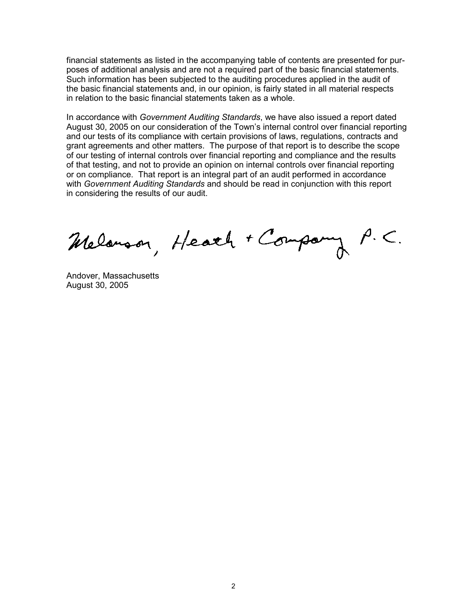financial statements as listed in the accompanying table of contents are presented for purposes of additional analysis and are not a required part of the basic financial statements. Such information has been subjected to the auditing procedures applied in the audit of the basic financial statements and, in our opinion, is fairly stated in all material respects in relation to the basic financial statements taken as a whole.

In accordance with *Government Auditing Standards*, we have also issued a report dated August 30, 2005 on our consideration of the Town's internal control over financial reporting and our tests of its compliance with certain provisions of laws, regulations, contracts and grant agreements and other matters. The purpose of that report is to describe the scope of our testing of internal controls over financial reporting and compliance and the results of that testing, and not to provide an opinion on internal controls over financial reporting or on compliance. That report is an integral part of an audit performed in accordance with *Government Auditing Standards* and should be read in conjunction with this report in considering the results of our audit.

Melanson, Heath + Company

Andover, Massachusetts August 30, 2005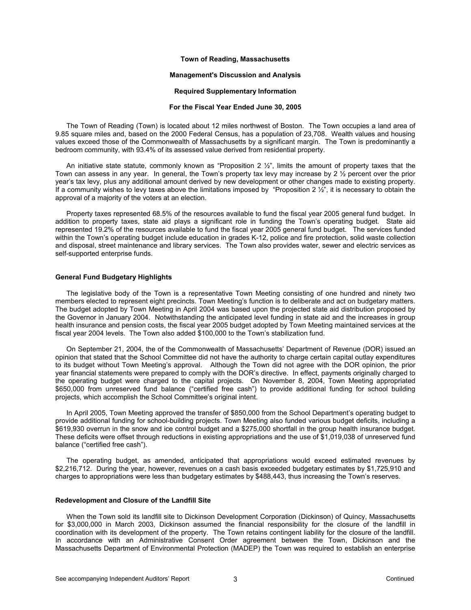### **Management's Discussion and Analysis**

#### **Required Supplementary Information**

#### **For the Fiscal Year Ended June 30, 2005**

The Town of Reading (Town) is located about 12 miles northwest of Boston. The Town occupies a land area of 9.85 square miles and, based on the 2000 Federal Census, has a population of 23,708. Wealth values and housing values exceed those of the Commonwealth of Massachusetts by a significant margin. The Town is predominantly a bedroom community, with 93.4% of its assessed value derived from residential property.

An initiative state statute, commonly known as "Proposition 2 ½", limits the amount of property taxes that the Town can assess in any year. In general, the Town's property tax levy may increase by 2 ½ percent over the prior year's tax levy, plus any additional amount derived by new development or other changes made to existing property. If a community wishes to levy taxes above the limitations imposed by "Proposition 2  $\frac{1}{2}$ ", it is necessary to obtain the approval of a majority of the voters at an election.

Property taxes represented 68.5% of the resources available to fund the fiscal year 2005 general fund budget. In addition to property taxes, state aid plays a significant role in funding the Town's operating budget. State aid represented 19.2% of the resources available to fund the fiscal year 2005 general fund budget. The services funded within the Town's operating budget include education in grades K-12, police and fire protection, solid waste collection and disposal, street maintenance and library services. The Town also provides water, sewer and electric services as self-supported enterprise funds.

#### **General Fund Budgetary Highlights**

The legislative body of the Town is a representative Town Meeting consisting of one hundred and ninety two members elected to represent eight precincts. Town Meeting's function is to deliberate and act on budgetary matters. The budget adopted by Town Meeting in April 2004 was based upon the projected state aid distribution proposed by the Governor in January 2004. Notwithstanding the anticipated level funding in state aid and the increases in group health insurance and pension costs, the fiscal year 2005 budget adopted by Town Meeting maintained services at the fiscal year 2004 levels. The Town also added \$100,000 to the Town's stabilization fund.

On September 21, 2004, the of the Commonwealth of Massachusetts' Department of Revenue (DOR) issued an opinion that stated that the School Committee did not have the authority to charge certain capital outlay expenditures to its budget without Town Meeting's approval. Although the Town did not agree with the DOR opinion, the prior year financial statements were prepared to comply with the DOR's directive. In effect, payments originally charged to the operating budget were charged to the capital projects. On November 8, 2004, Town Meeting appropriated \$650,000 from unreserved fund balance ("certified free cash") to provide additional funding for school building projects, which accomplish the School Committee's original intent.

In April 2005, Town Meeting approved the transfer of \$850,000 from the School Department's operating budget to provide additional funding for school-building projects. Town Meeting also funded various budget deficits, including a \$619,930 overrun in the snow and ice control budget and a \$275,000 shortfall in the group health insurance budget. These deficits were offset through reductions in existing appropriations and the use of \$1,019,038 of unreserved fund balance ("certified free cash").

The operating budget, as amended, anticipated that appropriations would exceed estimated revenues by \$2,216,712. During the year, however, revenues on a cash basis exceeded budgetary estimates by \$1,725,910 and charges to appropriations were less than budgetary estimates by \$488,443, thus increasing the Town's reserves.

#### **Redevelopment and Closure of the Landfill Site**

When the Town sold its landfill site to Dickinson Development Corporation (Dickinson) of Quincy, Massachusetts for \$3,000,000 in March 2003, Dickinson assumed the financial responsibility for the closure of the landfill in coordination with its development of the property. The Town retains contingent liability for the closure of the landfill. In accordance with an Administrative Consent Order agreement between the Town, Dickinson and the Massachusetts Department of Environmental Protection (MADEP) the Town was required to establish an enterprise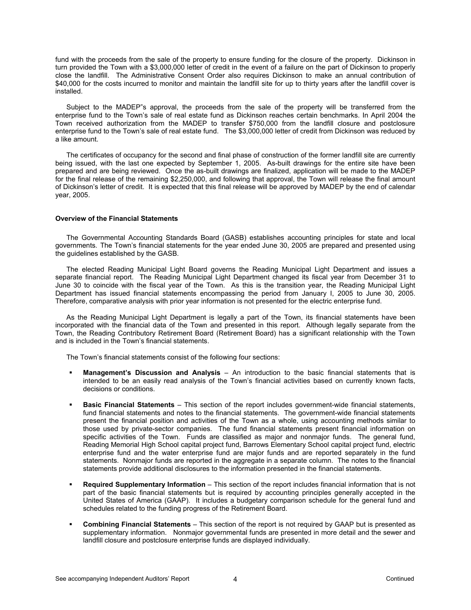fund with the proceeds from the sale of the property to ensure funding for the closure of the property. Dickinson in turn provided the Town with a \$3,000,000 letter of credit in the event of a failure on the part of Dickinson to properly close the landfill. The Administrative Consent Order also requires Dickinson to make an annual contribution of \$40,000 for the costs incurred to monitor and maintain the landfill site for up to thirty years after the landfill cover is installed.

Subject to the MADEP"s approval, the proceeds from the sale of the property will be transferred from the enterprise fund to the Town's sale of real estate fund as Dickinson reaches certain benchmarks. In April 2004 the Town received authorization from the MADEP to transfer \$750,000 from the landfill closure and postclosure enterprise fund to the Town's sale of real estate fund. The \$3,000,000 letter of credit from Dickinson was reduced by a like amount.

The certificates of occupancy for the second and final phase of construction of the former landfill site are currently being issued, with the last one expected by September 1, 2005. As-built drawings for the entire site have been prepared and are being reviewed. Once the as-built drawings are finalized, application will be made to the MADEP for the final release of the remaining \$2,250,000, and following that approval, the Town will release the final amount of Dickinson's letter of credit. It is expected that this final release will be approved by MADEP by the end of calendar year, 2005.

#### **Overview of the Financial Statements**

The Governmental Accounting Standards Board (GASB) establishes accounting principles for state and local governments. The Town's financial statements for the year ended June 30, 2005 are prepared and presented using the guidelines established by the GASB.

The elected Reading Municipal Light Board governs the Reading Municipal Light Department and issues a separate financial report. The Reading Municipal Light Department changed its fiscal year from December 31 to June 30 to coincide with the fiscal year of the Town. As this is the transition year, the Reading Municipal Light Department has issued financial statements encompassing the period from January I, 2005 to June 30, 2005. Therefore, comparative analysis with prior year information is not presented for the electric enterprise fund.

As the Reading Municipal Light Department is legally a part of the Town, its financial statements have been incorporated with the financial data of the Town and presented in this report. Although legally separate from the Town, the Reading Contributory Retirement Board (Retirement Board) has a significant relationship with the Town and is included in the Town's financial statements.

The Town's financial statements consist of the following four sections:

- **Management's Discussion and Analysis**  An introduction to the basic financial statements that is intended to be an easily read analysis of the Town's financial activities based on currently known facts, decisions or conditions.
- **Basic Financial Statements** This section of the report includes government-wide financial statements, fund financial statements and notes to the financial statements. The government-wide financial statements present the financial position and activities of the Town as a whole, using accounting methods similar to those used by private-sector companies. The fund financial statements present financial information on specific activities of the Town. Funds are classified as major and nonmajor funds. The general fund, Reading Memorial High School capital project fund, Barrows Elementary School capital project fund, electric enterprise fund and the water enterprise fund are major funds and are reported separately in the fund statements. Nonmajor funds are reported in the aggregate in a separate column. The notes to the financial statements provide additional disclosures to the information presented in the financial statements.
- **Required Supplementary Information** This section of the report includes financial information that is not part of the basic financial statements but is required by accounting principles generally accepted in the United States of America (GAAP). It includes a budgetary comparison schedule for the general fund and schedules related to the funding progress of the Retirement Board.
- **Combining Financial Statements** This section of the report is not required by GAAP but is presented as supplementary information. Nonmajor governmental funds are presented in more detail and the sewer and landfill closure and postclosure enterprise funds are displayed individually.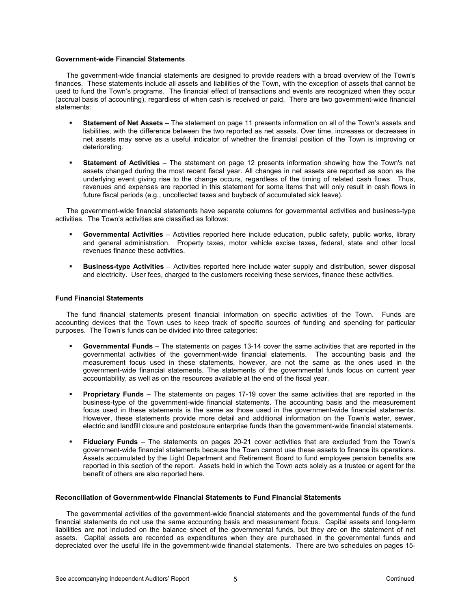### **Government-wide Financial Statements**

The government-wide financial statements are designed to provide readers with a broad overview of the Town's finances. These statements include all assets and liabilities of the Town, with the exception of assets that cannot be used to fund the Town's programs. The financial effect of transactions and events are recognized when they occur (accrual basis of accounting), regardless of when cash is received or paid. There are two government-wide financial statements:

- **Statement of Net Assets** The statement on page 11 presents information on all of the Town's assets and liabilities, with the difference between the two reported as net assets. Over time, increases or decreases in net assets may serve as a useful indicator of whether the financial position of the Town is improving or deteriorating.
- **Statement of Activities**The statement on page 12 presents information showing how the Town's net assets changed during the most recent fiscal year. All changes in net assets are reported as soon as the underlying event giving rise to the change occurs, regardless of the timing of related cash flows. Thus, revenues and expenses are reported in this statement for some items that will only result in cash flows in future fiscal periods (e.g., uncollected taxes and buyback of accumulated sick leave).

The government-wide financial statements have separate columns for governmental activities and business-type activities. The Town's activities are classified as follows:

- **Governmental Activities**  Activities reported here include education, public safety, public works, library and general administration. Property taxes, motor vehicle excise taxes, federal, state and other local revenues finance these activities.
- **Business-type Activities**  Activities reported here include water supply and distribution, sewer disposal and electricity. User fees, charged to the customers receiving these services, finance these activities.

### **Fund Financial Statements**

The fund financial statements present financial information on specific activities of the Town. Funds are accounting devices that the Town uses to keep track of specific sources of funding and spending for particular purposes. The Town's funds can be divided into three categories:

- **Governmental Funds** The statements on pages 13-14 cover the same activities that are reported in the governmental activities of the government-wide financial statements. The accounting basis and the measurement focus used in these statements, however, are not the same as the ones used in the government-wide financial statements. The statements of the governmental funds focus on current year accountability, as well as on the resources available at the end of the fiscal year.
- **Proprietary Funds** The statements on pages 17-19 cover the same activities that are reported in the business-type of the government-wide financial statements. The accounting basis and the measurement focus used in these statements is the same as those used in the government-wide financial statements. However, these statements provide more detail and additional information on the Town's water, sewer, electric and landfill closure and postclosure enterprise funds than the government-wide financial statements.
- **Fiduciary Funds** The statements on pages 20-21 cover activities that are excluded from the Town's government-wide financial statements because the Town cannot use these assets to finance its operations. Assets accumulated by the Light Department and Retirement Board to fund employee pension benefits are reported in this section of the report. Assets held in which the Town acts solely as a trustee or agent for the benefit of others are also reported here.

## **Reconciliation of Government-wide Financial Statements to Fund Financial Statements**

The governmental activities of the government-wide financial statements and the governmental funds of the fund financial statements do not use the same accounting basis and measurement focus. Capital assets and long-term liabilities are not included on the balance sheet of the governmental funds, but they are on the statement of net assets. Capital assets are recorded as expenditures when they are purchased in the governmental funds and depreciated over the useful life in the government-wide financial statements. There are two schedules on pages 15-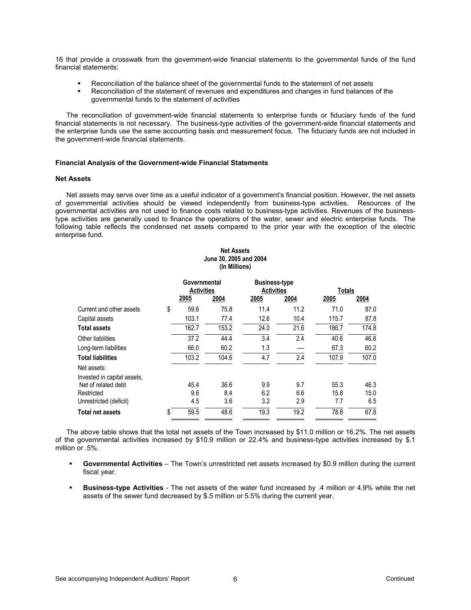16 that provide a crosswalk from the government-wide financial statements to the governmental funds of the fund financial statements:

- Reconciliation of the balance sheet of the governmental funds to the statement of net assets
- Reconciliation of the statement of revenues and expenditures and changes in fund balances of the governmental funds to the statement of activities

The reconciliation of government-wide financial statements to enterprise funds or fiduciary funds of the fund financial statements is not necessary. The business-type activities of the government-wide financial statements and the enterprise funds use the same accounting basis and measurement focus. The fiduciary funds are not included in the government-wide financial statements.

#### **Financial Analysis of the Government-wide Financial Statements**

#### **Net Assets**

Net assets may serve over time as a useful indicator of a government's financial position. However, the net assets of governmental activities should be viewed independently from business-type activities. Resources of the governmental activities are not used to finance costs related to business-type activities. Revenues of the businesstype activities are generally used to finance the operations of the water, sewer and electric enterprise funds. The following table reflects the condensed net assets compared to the prior year with the exception of the electric enterprise fund.

|                             | June 30, 2005 and 2004 |                                   |      |                                           |        |       |
|-----------------------------|------------------------|-----------------------------------|------|-------------------------------------------|--------|-------|
|                             |                        | Governmental<br><b>Activities</b> |      | <b>Business-type</b><br><b>Activities</b> | Totals |       |
|                             | 2005                   | 2004                              | 2005 | 2004                                      | 2005   | 2004  |
| Current and other assets    | \$<br>59.6             | 75.8                              | 11.4 | 11.2                                      | 71.0   | 87.0  |
| Capital assets              | 103.1                  | 77.4                              | 12.6 | 10.4                                      | 115.7  | 87.8  |
| Total assets                | 162.7                  | 153.2                             | 24.0 | 21.6                                      | 186.7  | 174.8 |
| Other liabilities           | 37.2                   | 44.4                              | 3.4  | 2.4                                       | 40.6   | 46.8  |
| Long-term liabilities       | 66.0                   | 60.2                              | 1.3  |                                           | 67.3   | 60.2  |
| <b>Total liabilities</b>    | 103.2                  | 104.6                             | 4.7  | 2.4                                       | 107.9  | 107.0 |
| Net assets:                 |                        |                                   |      |                                           |        |       |
| Invested in capital assets, |                        |                                   |      |                                           |        |       |
| Net of related debt         | 45.4                   | 36.6                              | 9.9  | 9.7                                       | 55.3   | 46.3  |
| Restricted                  | 9.6                    | 8.4                               | 6.2  | 6.6                                       | 15.8   | 15.0  |
| Unrestricted (deficit)      | 4.5                    | 3.6                               | 3.2  | 2.9                                       | 7.7    | 6.5   |
| Total net assets            | \$<br>59.5             | 48.6                              | 19.3 | 19.2                                      | 78.8   | 67.8  |

The above table shows that the total net assets of the Town increased by \$11.0 million or 16.2%. The net assets of the governmental activities increased by \$10.9 million or 22.4% and business-type activities increased by \$.1 million or .5%.

- **Governmental Activities** The Town's unrestricted net assets increased by \$0.9 million during the current fiscal year.
- **Business-type Activities** The net assets of the water fund increased by .4 million or 4.9% while the net assets of the sewer fund decreased by \$.5 million or 5.5% during the current year.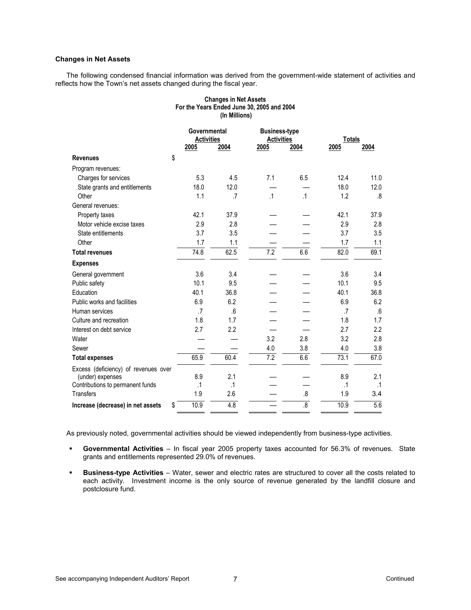## **Changes in Net Assets**

The following condensed financial information was derived from the government-wide statement of activities and reflects how the Town's net assets changed during the fiscal year.

## **Changes in Net Assets For the Years Ended June 30, 2005 and 2004 (In Millions)**

|                                         | Governmental<br><b>Activities</b> |           |                  | <b>Business-type</b><br><b>Activities</b> |           | <b>Totals</b> |
|-----------------------------------------|-----------------------------------|-----------|------------------|-------------------------------------------|-----------|---------------|
|                                         | 2005                              | 2004      | 2005             | 2004                                      | 2005      | 2004          |
| \$<br><b>Revenues</b>                   |                                   |           |                  |                                           |           |               |
| Program revenues:                       |                                   |           |                  |                                           |           |               |
| Charges for services                    | 5.3                               | 4.5       | 7.1              | 6.5                                       | 12.4      | 11.0          |
| State grants and entitlements           | 18.0                              | 12.0      |                  |                                           | 18.0      | 12.0          |
| Other                                   | 1.1                               | $\cdot$   | $\cdot$ 1        | $\cdot$ 1                                 | 1.2       | .8            |
| General revenues:                       |                                   |           |                  |                                           |           |               |
| Property taxes                          | 42.1                              | 37.9      |                  |                                           | 42.1      | 37.9          |
| Motor vehicle excise taxes              | 2.9                               | 2.8       |                  |                                           | 2.9       | 2.8           |
| State entitlements                      | 3.7                               | 3.5       |                  |                                           | 3.7       | 3.5           |
| Other                                   | 1.7                               | 1.1       |                  |                                           | 1.7       | 1.1           |
| <b>Total revenues</b>                   | 74.8                              | 62.5      | $\overline{7.2}$ | 6.6                                       | 82.0      | 69.1          |
| <b>Expenses</b>                         |                                   |           |                  |                                           |           |               |
| General government                      | 3.6                               | 3.4       |                  |                                           | 3.6       | 3.4           |
| Public safety                           | 10.1                              | 9.5       |                  |                                           | 10.1      | 9.5           |
| Education                               | 40.1                              | 36.8      |                  |                                           | 40.1      | 36.8          |
| Public works and facilities             | 6.9                               | 6.2       |                  |                                           | 6.9       | 6.2           |
| Human services                          | .7                                | .6        |                  |                                           | .7        | .6            |
| Culture and recreation                  | 1.8                               | 1.7       |                  |                                           | 1.8       | 1.7           |
| Interest on debt service                | 2.7                               | 2.2       |                  |                                           | 2.7       | 2.2           |
| Water                                   |                                   |           | 3.2              | 2.8                                       | 3.2       | 2.8           |
| Sewer                                   |                                   |           | 4.0              | 3.8                                       | 4.0       | 3.8           |
| <b>Total expenses</b>                   | 65.9                              | 60.4      | $\overline{7.2}$ | 6.6                                       | 73.1      | 67.0          |
| Excess (deficiency) of revenues over    |                                   |           |                  |                                           |           |               |
| (under) expenses                        | 8.9                               | 2.1       |                  |                                           | 8.9       | 2.1           |
| Contributions to permanent funds        | $\cdot$ 1                         | $\cdot$ 1 |                  |                                           | $\cdot$ 1 | .1            |
| <b>Transfers</b>                        | 1.9                               | 2.6       |                  | 8.                                        | 1.9       | 3.4           |
| \$<br>Increase (decrease) in net assets | 10.9                              | 4.8       |                  | 8.                                        | 10.9      | 5.6           |
|                                         |                                   |           |                  |                                           |           |               |

As previously noted, governmental activities should be viewed independently from business-type activities.

- **Governmental Activities** In fiscal year 2005 property taxes accounted for 56.3% of revenues. State grants and entitlements represented 29.0% of revenues.
- **Business-type Activities** Water, sewer and electric rates are structured to cover all the costs related to each activity. Investment income is the only source of revenue generated by the landfill closure and postclosure fund.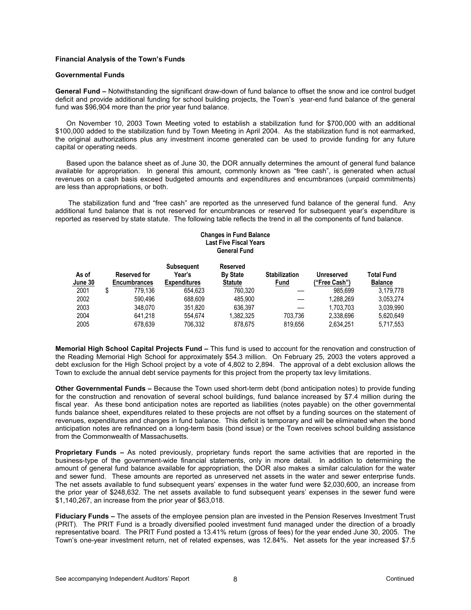## **Financial Analysis of the Town's Funds**

#### **Governmental Funds**

**General Fund –** Notwithstanding the significant draw-down of fund balance to offset the snow and ice control budget deficit and provide additional funding for school building projects, the Town's year-end fund balance of the general fund was \$96,904 more than the prior year fund balance.

On November 10, 2003 Town Meeting voted to establish a stabilization fund for \$700,000 with an additional \$100,000 added to the stabilization fund by Town Meeting in April 2004. As the stabilization fund is not earmarked, the original authorizations plus any investment income generated can be used to provide funding for any future capital or operating needs.

Based upon the balance sheet as of June 30, the DOR annually determines the amount of general fund balance available for appropriation. In general this amount, commonly known as "free cash", is generated when actual revenues on a cash basis exceed budgeted amounts and expenditures and encumbrances (unpaid commitments) are less than appropriations, or both.

 The stabilization fund and "free cash" are reported as the unreserved fund balance of the general fund. Any additional fund balance that is not reserved for encumbrances or reserved for subsequent year's expenditure is reported as reserved by state statute. The following table reflects the trend in all the components of fund balance.

#### **Changes in Fund Balance Last Five Fiscal Years General Fund**

| <b>Total Fund</b><br>Unreserved<br>("Free Cash")<br><b>Balance</b> |
|--------------------------------------------------------------------|
| 985.699<br>3.179.778                                               |
| 1.288.269<br>3.053.274                                             |
| 3.039.990<br>1.703.703                                             |
| 2.338.696<br>5.620.649                                             |
| 2.634.251<br>5,717,553                                             |
|                                                                    |

**Memorial High School Capital Projects Fund –** This fund is used to account for the renovation and construction of the Reading Memorial High School for approximately \$54.3 million. On February 25, 2003 the voters approved a debt exclusion for the High School project by a vote of 4,802 to 2,894. The approval of a debt exclusion allows the Town to exclude the annual debt service payments for this project from the property tax levy limitations.

**Other Governmental Funds –** Because the Town used short-term debt (bond anticipation notes) to provide funding for the construction and renovation of several school buildings, fund balance increased by \$7.4 million during the fiscal year. As these bond anticipation notes are reported as liabilities (notes payable) on the other governmental funds balance sheet, expenditures related to these projects are not offset by a funding sources on the statement of revenues, expenditures and changes in fund balance. This deficit is temporary and will be eliminated when the bond anticipation notes are refinanced on a long-term basis (bond issue) or the Town receives school building assistance from the Commonwealth of Massachusetts.

**Proprietary Funds –** As noted previously, proprietary funds report the same activities that are reported in the business-type of the government-wide financial statements, only in more detail. In addition to determining the amount of general fund balance available for appropriation, the DOR also makes a similar calculation for the water and sewer fund. These amounts are reported as unreserved net assets in the water and sewer enterprise funds. The net assets available to fund subsequent years' expenses in the water fund were \$2,030,600, an increase from the prior year of \$248,632. The net assets available to fund subsequent years' expenses in the sewer fund were \$1,140,267, an increase from the prior year of \$63,018.

**Fiduciary Funds –** The assets of the employee pension plan are invested in the Pension Reserves Investment Trust (PRIT). The PRIT Fund is a broadly diversified pooled investment fund managed under the direction of a broadly representative board. The PRIT Fund posted a 13.41% return (gross of fees) for the year ended June 30, 2005. The Town's one-year investment return, net of related expenses, was 12.84%. Net assets for the year increased \$7.5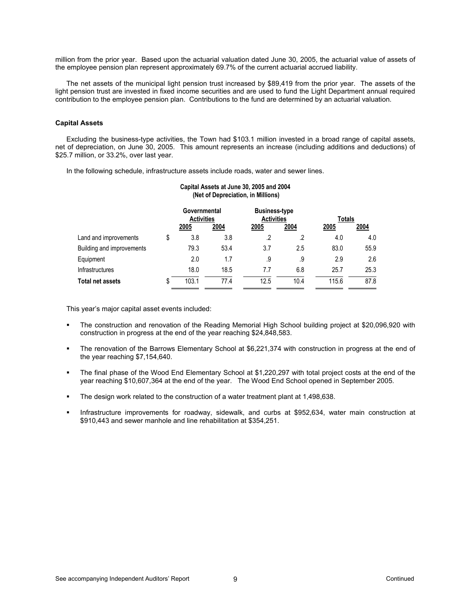million from the prior year. Based upon the actuarial valuation dated June 30, 2005, the actuarial value of assets of the employee pension plan represent approximately 69.7% of the current actuarial accrued liability.

The net assets of the municipal light pension trust increased by \$89,419 from the prior year. The assets of the light pension trust are invested in fixed income securities and are used to fund the Light Department annual required contribution to the employee pension plan. Contributions to the fund are determined by an actuarial valuation.

### **Capital Assets**

Excluding the business-type activities, the Town had \$103.1 million invested in a broad range of capital assets, net of depreciation, on June 30, 2005. This amount represents an increase (including additions and deductions) of \$25.7 million, or 33.2%, over last year.

In the following schedule, infrastructure assets include roads, water and sewer lines.

|                           |    | Capital Assets at June 30, 2005 and 2004<br>(Net of Depreciation, in Millions) |                                                                                |         |         |        |      |  |
|---------------------------|----|--------------------------------------------------------------------------------|--------------------------------------------------------------------------------|---------|---------|--------|------|--|
|                           |    |                                                                                | Governmental<br><b>Business-type</b><br><b>Activities</b><br><b>Activities</b> |         |         | Totals |      |  |
|                           |    | 2005                                                                           | 2004                                                                           | 2005    | 2004    | 2005   | 2004 |  |
| Land and improvements     | \$ | 3.8                                                                            | 3.8                                                                            | $\cdot$ | $\cdot$ | 4.0    | 4.0  |  |
| Building and improvements |    | 79.3                                                                           | 53.4                                                                           | 3.7     | 2.5     | 83.0   | 55.9 |  |
| Equipment                 |    | 2.0                                                                            | 1.7                                                                            | .9      | .9      | 2.9    | 2.6  |  |
| <b>Infrastructures</b>    |    | 18.0                                                                           | 18.5                                                                           | 7.7     | 6.8     | 25.7   | 25.3 |  |
| Total net assets          | S  | 103.1                                                                          | 77.4                                                                           | 12.5    | 10.4    | 115.6  | 87.8 |  |

This year's major capital asset events included:

- The construction and renovation of the Reading Memorial High School building project at \$20,096,920 with construction in progress at the end of the year reaching \$24,848,583.
- The renovation of the Barrows Elementary School at \$6,221,374 with construction in progress at the end of the year reaching \$7,154,640.
- The final phase of the Wood End Elementary School at \$1,220,297 with total project costs at the end of the year reaching \$10,607,364 at the end of the year. The Wood End School opened in September 2005.
- The design work related to the construction of a water treatment plant at 1,498,638.
- Infrastructure improvements for roadway, sidewalk, and curbs at \$952,634, water main construction at \$910,443 and sewer manhole and line rehabilitation at \$354,251.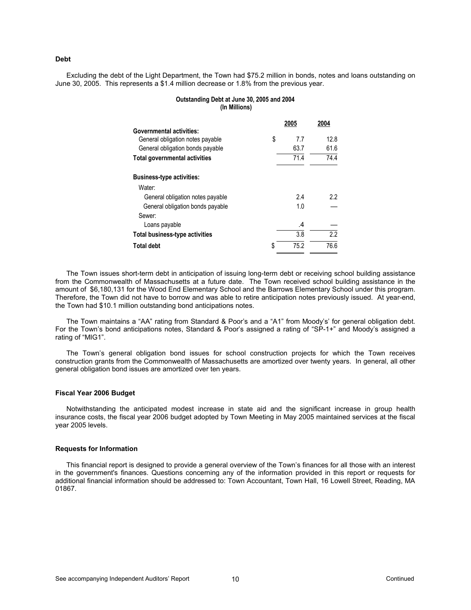**Debt** 

Excluding the debt of the Light Department, the Town had \$75.2 million in bonds, notes and loans outstanding on June 30, 2005. This represents a \$1.4 million decrease or 1.8% from the previous year.

#### **Outstanding Debt at June 30, 2005 and 2004 (In Millions)**

| 2005 | 2004 |
|------|------|
|      |      |
| 7.7  | 12.8 |
| 63.7 | 61.6 |
| 71.4 | 74.4 |
|      |      |
|      |      |
| 2.4  | 2.2  |
| 1.0  |      |
|      |      |
| .4   |      |
| 3.8  | 2.2  |
| 75.2 | 76.6 |
|      |      |

The Town issues short-term debt in anticipation of issuing long-term debt or receiving school building assistance from the Commonwealth of Massachusetts at a future date. The Town received school building assistance in the amount of \$6,180,131 for the Wood End Elementary School and the Barrows Elementary School under this program. Therefore, the Town did not have to borrow and was able to retire anticipation notes previously issued. At year-end, the Town had \$10.1 million outstanding bond anticipations notes.

The Town maintains a "AA" rating from Standard & Poor's and a "A1" from Moody's' for general obligation debt. For the Town's bond anticipations notes, Standard & Poor's assigned a rating of "SP-1+" and Moody's assigned a rating of "MIG1".

The Town's general obligation bond issues for school construction projects for which the Town receives construction grants from the Commonwealth of Massachusetts are amortized over twenty years. In general, all other general obligation bond issues are amortized over ten years.

#### **Fiscal Year 2006 Budget**

Notwithstanding the anticipated modest increase in state aid and the significant increase in group health insurance costs, the fiscal year 2006 budget adopted by Town Meeting in May 2005 maintained services at the fiscal year 2005 levels.

#### **Requests for Information**

This financial report is designed to provide a general overview of the Town's finances for all those with an interest in the government's finances. Questions concerning any of the information provided in this report or requests for additional financial information should be addressed to: Town Accountant, Town Hall, 16 Lowell Street, Reading, MA 01867.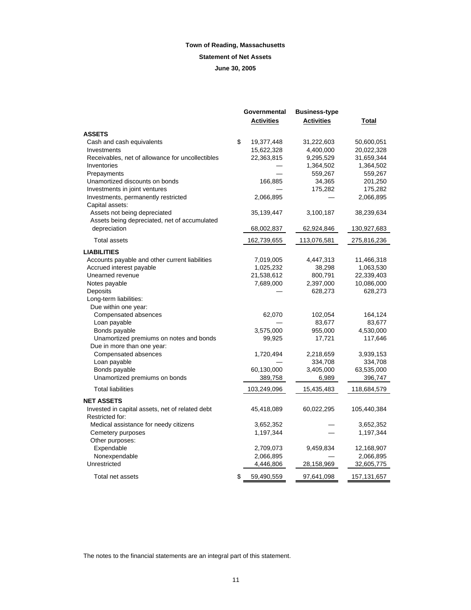## **Statement of Net Assets**

**June 30, 2005**

|                                                  | Governmental<br><b>Activities</b> | <b>Business-type</b><br><b>Activities</b> | <u>Total</u> |
|--------------------------------------------------|-----------------------------------|-------------------------------------------|--------------|
| <b>ASSETS</b>                                    |                                   |                                           |              |
| Cash and cash equivalents                        | \$<br>19,377,448                  | 31,222,603                                | 50,600,051   |
| Investments                                      | 15,622,328                        | 4,400,000                                 | 20,022,328   |
| Receivables, net of allowance for uncollectibles | 22,363,815                        | 9,295,529                                 | 31,659,344   |
| Inventories                                      |                                   | 1,364,502                                 | 1,364,502    |
| Prepayments                                      |                                   | 559,267                                   | 559,267      |
| Unamortized discounts on bonds                   | 166,885                           | 34,365                                    | 201,250      |
| Investments in joint ventures                    |                                   | 175,282                                   | 175,282      |
| Investments, permanently restricted              | 2,066,895                         |                                           | 2,066,895    |
| Capital assets:                                  |                                   |                                           |              |
| Assets not being depreciated                     | 35,139,447                        | 3,100,187                                 | 38,239,634   |
| Assets being depreciated, net of accumulated     |                                   |                                           |              |
| depreciation                                     | 68,002,837                        | 62,924,846                                | 130,927,683  |
| <b>Total assets</b>                              | 162,739,655                       | 113,076,581                               | 275,816,236  |
| <b>LIABILITIES</b>                               |                                   |                                           |              |
| Accounts payable and other current liabilities   | 7,019,005                         | 4,447,313                                 | 11,466,318   |
| Accrued interest payable                         | 1,025,232                         | 38,298                                    | 1,063,530    |
| Unearned revenue                                 | 21,538,612                        | 800,791                                   | 22,339,403   |
| Notes payable                                    | 7,689,000                         | 2,397,000                                 | 10,086,000   |
| Deposits                                         |                                   | 628,273                                   | 628,273      |
| Long-term liabilities:                           |                                   |                                           |              |
| Due within one year:                             |                                   |                                           |              |
| Compensated absences                             | 62,070                            | 102,054                                   | 164,124      |
| Loan payable                                     |                                   | 83,677                                    | 83,677       |
| Bonds payable                                    | 3,575,000                         | 955,000                                   | 4,530,000    |
| Unamortized premiums on notes and bonds          | 99,925                            | 17,721                                    | 117,646      |
| Due in more than one year:                       |                                   |                                           |              |
| Compensated absences                             | 1,720,494                         | 2,218,659                                 | 3,939,153    |
| Loan payable                                     |                                   | 334,708                                   | 334,708      |
| Bonds payable                                    | 60,130,000                        | 3,405,000                                 | 63,535,000   |
| Unamortized premiums on bonds                    | 389,758                           | 6,989                                     | 396,747      |
| <b>Total liabilities</b>                         | 103,249,096                       | 15,435,483                                | 118,684,579  |
| <b>NET ASSETS</b>                                |                                   |                                           |              |
| Invested in capital assets, net of related debt  | 45,418,089                        | 60,022,295                                | 105,440,384  |
| Restricted for:                                  |                                   |                                           |              |
| Medical assistance for needy citizens            | 3,652,352                         |                                           | 3,652,352    |
| Cemetery purposes                                | 1,197,344                         |                                           | 1,197,344    |
| Other purposes:                                  |                                   |                                           |              |
| Expendable                                       | 2,709,073                         | 9,459,834                                 | 12,168,907   |
| Nonexpendable                                    | 2,066,895                         |                                           | 2,066,895    |
| Unrestricted                                     | 4,446,806                         | 28,158,969                                | 32,605,775   |
| Total net assets                                 | \$<br>59,490,559                  | 97,641,098                                | 157,131,657  |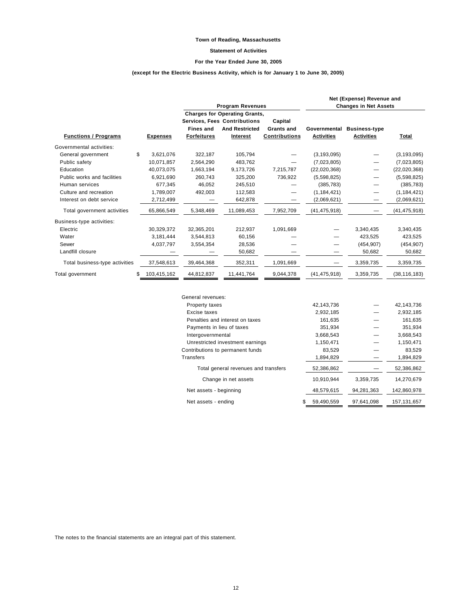### **Statement of Activities**

#### **For the Year Ended June 30, 2005**

## **(except for the Electric Business Activity, which is for January 1 to June 30, 2005)**

|                                |                 |                    | <b>Program Revenues</b>              |                      |                   | Net (Expense) Revenue and<br><b>Changes in Net Assets</b> |                |
|--------------------------------|-----------------|--------------------|--------------------------------------|----------------------|-------------------|-----------------------------------------------------------|----------------|
|                                |                 |                    | <b>Charges for Operating Grants,</b> |                      |                   |                                                           |                |
|                                |                 |                    | Services, Fees Contributions         | Capital              |                   |                                                           |                |
|                                |                 | <b>Fines and</b>   | <b>And Restricted</b>                | Grants and           | Governmental      | <b>Business-type</b>                                      |                |
| <b>Functions / Programs</b>    | <b>Expenses</b> | <b>Forfeitures</b> | Interest                             | <b>Contributions</b> | <b>Activities</b> | <b>Activities</b>                                         | Total          |
| Governmental activities:       |                 |                    |                                      |                      |                   |                                                           |                |
| General government             | \$<br>3,621,076 | 322,187            | 105,794                              |                      | (3, 193, 095)     |                                                           | (3, 193, 095)  |
| Public safety                  | 10,071,857      | 2,564,290          | 483.762                              |                      | (7,023,805)       |                                                           | (7,023,805)    |
| Education                      | 40,073,075      | 1,663,194          | 9,173,726                            | 7,215,787            | (22,020,368)      |                                                           | (22,020,368)   |
| Public works and facilities    | 6,921,690       | 260,743            | 325,200                              | 736,922              | (5,598,825)       |                                                           | (5,598,825)    |
| Human services                 | 677,345         | 46,052             | 245,510                              |                      | (385, 783)        |                                                           | (385, 783)     |
| Culture and recreation         | 1,789,007       | 492,003            | 112,583                              | —                    | (1, 184, 421)     |                                                           | (1, 184, 421)  |
| Interest on debt service       | 2,712,499       |                    | 642,878                              |                      | (2,069,621)       |                                                           | (2,069,621)    |
| Total government activities    | 65,866,549      | 5,348,469          | 11,089,453                           | 7,952,709            | (41, 475, 918)    |                                                           | (41, 475, 918) |
| Business-type activities:      |                 |                    |                                      |                      |                   |                                                           |                |
| Electric                       | 30,329,372      | 32,365,201         | 212,937                              | 1,091,669            |                   | 3,340,435                                                 | 3,340,435      |
| Water                          | 3,181,444       | 3,544,813          | 60,156                               |                      |                   | 423,525                                                   | 423,525        |
| Sewer                          | 4,037,797       | 3,554,354          | 28,536                               |                      |                   | (454, 907)                                                | (454, 907)     |
| Landfill closure               |                 |                    | 50,682                               |                      |                   | 50,682                                                    | 50,682         |
| Total business-type activities | 37,548,613      | 39,464,368         | 352,311                              | 1,091,669            |                   | 3,359,735                                                 | 3,359,735      |
| Total government               | 103,415,162     | 44,812,837         | 11,441,764                           | 9,044,378            | (41, 475, 918)    | 3,359,735                                                 | (38, 116, 183) |

| General revenues:                    |                  |            |               |
|--------------------------------------|------------------|------------|---------------|
| <b>Property taxes</b>                | 42,143,736       |            | 42,143,736    |
| Excise taxes                         | 2,932,185        |            | 2,932,185     |
| Penalties and interest on taxes      |                  | 161,635    | 161,635       |
| Payments in lieu of taxes            |                  | 351,934    | 351,934       |
| Intergovernmental                    | 3,668,543        |            | 3,668,543     |
| Unrestricted investment earnings     | 1,150,471        |            | 1,150,471     |
| Contributions to permanent funds     |                  | 83,529     | 83,529        |
| Transfers                            | 1,894,829        |            | 1,894,829     |
| Total general revenues and transfers | 52,386,862       |            | 52,386,862    |
| Change in net assets                 | 10.910.944       | 3,359,735  | 14.270.679    |
| Net assets - beginning               | 48,579,615       | 94,281,363 | 142,860,978   |
| Net assets - ending                  | 59,490,559<br>\$ | 97,641,098 | 157, 131, 657 |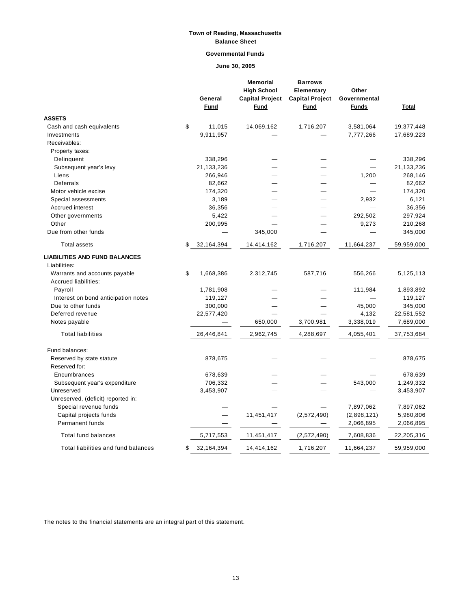## **Town of Reading, Massachusetts Balance Sheet**

## **Governmental Funds**

**June 30, 2005**

|                                                                                                               | General<br><b>Fund</b>   | <b>Memorial</b><br><b>High School</b><br><b>Capital Project</b><br>Fund | <b>Barrows</b><br>Elementary<br><b>Capital Project</b><br>Fund | Other<br>Governmental<br><b>Funds</b> | Total      |
|---------------------------------------------------------------------------------------------------------------|--------------------------|-------------------------------------------------------------------------|----------------------------------------------------------------|---------------------------------------|------------|
| <b>ASSETS</b>                                                                                                 |                          |                                                                         |                                                                |                                       |            |
| Cash and cash equivalents                                                                                     | \$<br>11,015             | 14,069,162                                                              | 1,716,207                                                      | 3,581,064                             | 19,377,448 |
| Investments                                                                                                   | 9,911,957                |                                                                         |                                                                | 7,777,266                             | 17,689,223 |
| Receivables:                                                                                                  |                          |                                                                         |                                                                |                                       |            |
| Property taxes:                                                                                               |                          |                                                                         |                                                                |                                       |            |
| Delinquent                                                                                                    | 338,296                  |                                                                         |                                                                |                                       | 338,296    |
| Subsequent year's levy                                                                                        | 21,133,236               |                                                                         |                                                                |                                       | 21,133,236 |
| Liens                                                                                                         | 266,946                  |                                                                         |                                                                | 1,200                                 | 268,146    |
| Deferrals                                                                                                     | 82,662                   |                                                                         |                                                                |                                       | 82,662     |
| Motor vehicle excise                                                                                          | 174,320                  |                                                                         |                                                                |                                       | 174,320    |
| Special assessments                                                                                           | 3,189                    |                                                                         |                                                                | 2,932                                 | 6,121      |
| Accrued interest                                                                                              | 36,356                   |                                                                         |                                                                |                                       | 36,356     |
| Other governments                                                                                             | 5,422                    |                                                                         |                                                                | 292,502                               | 297,924    |
| Other                                                                                                         | 200,995                  |                                                                         |                                                                | 9,273                                 | 210,268    |
| Due from other funds                                                                                          | $\overline{\phantom{0}}$ | 345,000                                                                 |                                                                |                                       | 345,000    |
| <b>Total assets</b>                                                                                           | \$<br>32,164,394         | 14,414,162                                                              | 1,716,207                                                      | 11,664,237                            | 59,959,000 |
| <b>LIABILITIES AND FUND BALANCES</b><br>Liabilities:<br>Warrants and accounts payable<br>Accrued liabilities: | \$<br>1,668,386          | 2,312,745                                                               | 587,716                                                        | 556,266                               | 5,125,113  |
| Payroll                                                                                                       | 1,781,908                |                                                                         |                                                                | 111,984                               | 1,893,892  |
| Interest on bond anticipation notes                                                                           | 119,127                  |                                                                         |                                                                |                                       | 119,127    |
| Due to other funds                                                                                            | 300,000                  |                                                                         |                                                                | 45,000                                | 345,000    |
| Deferred revenue                                                                                              | 22,577,420               |                                                                         |                                                                | 4,132                                 | 22,581,552 |
| Notes payable                                                                                                 |                          | 650,000                                                                 | 3,700,981                                                      | 3,338,019                             | 7,689,000  |
| <b>Total liabilities</b>                                                                                      | 26,446,841               | 2,962,745                                                               | 4,288,697                                                      | 4,055,401                             | 37,753,684 |
| Fund balances:                                                                                                |                          |                                                                         |                                                                |                                       |            |
| Reserved by state statute<br>Reserved for:                                                                    | 878,675                  |                                                                         |                                                                |                                       | 878,675    |
| Encumbrances                                                                                                  | 678,639                  |                                                                         |                                                                |                                       | 678,639    |
| Subsequent year's expenditure                                                                                 | 706,332                  |                                                                         |                                                                | 543,000                               | 1,249,332  |
| Unreserved                                                                                                    | 3,453,907                |                                                                         |                                                                |                                       | 3,453,907  |
| Unreserved, (deficit) reported in:                                                                            |                          |                                                                         |                                                                |                                       |            |
| Special revenue funds                                                                                         |                          |                                                                         |                                                                | 7,897,062                             | 7,897,062  |
| Capital projects funds                                                                                        |                          | 11,451,417                                                              | (2,572,490)                                                    | (2,898,121)                           | 5,980,806  |
| Permanent funds                                                                                               |                          |                                                                         |                                                                | 2,066,895                             | 2,066,895  |
| Total fund balances                                                                                           | 5,717,553                | 11,451,417                                                              | (2,572,490)                                                    | 7,608,836                             | 22,205,316 |
| Total liabilities and fund balances                                                                           | \$<br>32,164,394         | 14,414,162                                                              | 1,716,207                                                      | 11,664,237                            | 59,959,000 |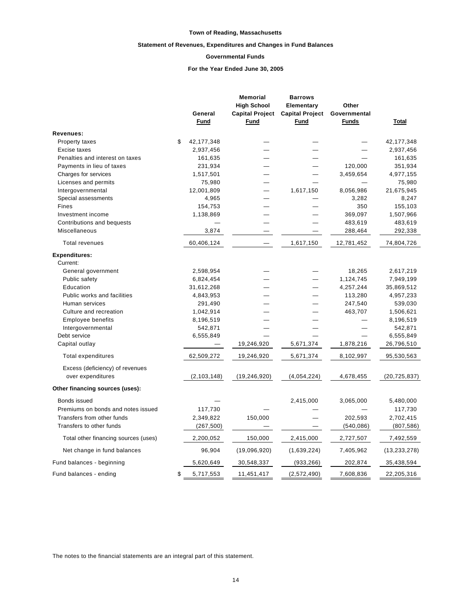#### **Statement of Revenues, Expenditures and Changes in Fund Balances**

#### **Governmental Funds**

### **For the Year Ended June 30, 2005**

|                                      |                         | <b>Memorial</b>        | <b>Barrows</b>         |                     |                         |
|--------------------------------------|-------------------------|------------------------|------------------------|---------------------|-------------------------|
|                                      |                         | <b>High School</b>     | Elementary             | Other               |                         |
|                                      | General                 | <b>Capital Project</b> | <b>Capital Project</b> | Governmental        |                         |
|                                      | <b>Fund</b>             | <b>Fund</b>            | <b>Fund</b>            | <b>Funds</b>        | Total                   |
| Revenues:                            |                         |                        |                        |                     |                         |
| <b>Property taxes</b>                | \$<br>42, 177, 348      |                        |                        |                     | 42, 177, 348            |
| Excise taxes                         | 2,937,456               |                        |                        |                     | 2,937,456               |
| Penalties and interest on taxes      | 161,635                 |                        |                        |                     | 161,635                 |
| Payments in lieu of taxes            | 231,934                 |                        |                        | 120,000             | 351,934                 |
| Charges for services                 | 1,517,501               |                        |                        | 3,459,654           | 4,977,155               |
| Licenses and permits                 | 75,980                  |                        |                        |                     | 75,980                  |
| Intergovernmental                    | 12,001,809              |                        | 1,617,150              | 8,056,986           | 21,675,945              |
| Special assessments                  | 4,965                   |                        |                        | 3,282               | 8,247                   |
| Fines                                | 154,753                 |                        |                        | 350                 | 155,103                 |
| Investment income                    | 1,138,869               |                        |                        | 369,097             | 1,507,966               |
| Contributions and bequests           |                         |                        |                        | 483,619             | 483,619                 |
| Miscellaneous                        | 3,874                   |                        |                        | 288,464             | 292,338                 |
| <b>Total revenues</b>                | 60,406,124              |                        | 1,617,150              | 12,781,452          | 74,804,726              |
| <b>Expenditures:</b>                 |                         |                        |                        |                     |                         |
| Current:                             |                         |                        |                        |                     |                         |
| General government<br>Public safety  | 2,598,954               |                        |                        | 18,265<br>1,124,745 | 2,617,219               |
| Education                            | 6,824,454<br>31,612,268 |                        |                        | 4,257,244           | 7,949,199<br>35,869,512 |
| Public works and facilities          | 4,843,953               |                        |                        | 113,280             | 4,957,233               |
| Human services                       | 291,490                 |                        |                        | 247,540             | 539,030                 |
| Culture and recreation               | 1,042,914               |                        |                        | 463,707             | 1,506,621               |
| Employee benefits                    | 8,196,519               |                        |                        |                     | 8,196,519               |
| Intergovernmental                    | 542,871                 |                        |                        |                     | 542,871                 |
| Debt service                         | 6,555,849               |                        |                        |                     | 6,555,849               |
| Capital outlay                       |                         | 19,246,920             | 5,671,374              | 1,878,216           | 26,796,510              |
| <b>Total expenditures</b>            | 62,509,272              | 19,246,920             | 5,671,374              | 8,102,997           | 95,530,563              |
| Excess (deficiency) of revenues      |                         |                        |                        |                     |                         |
| over expenditures                    | (2, 103, 148)           | (19, 246, 920)         | (4,054,224)            | 4,678,455           | (20, 725, 837)          |
| Other financing sources (uses):      |                         |                        |                        |                     |                         |
| Bonds issued                         |                         |                        | 2,415,000              | 3,065,000           | 5,480,000               |
| Premiums on bonds and notes issued   | 117,730                 |                        |                        |                     | 117,730                 |
| Transfers from other funds           | 2,349,822               | 150,000                |                        | 202,593             | 2,702,415               |
| Transfers to other funds             | (267, 500)              |                        |                        | (540, 086)          | (807, 586)              |
| Total other financing sources (uses) | 2,200,052               | 150,000                | 2,415,000              | 2,727,507           | 7,492,559               |
| Net change in fund balances          | 96,904                  | (19,096,920)           | (1,639,224)            | 7,405,962           | (13, 233, 278)          |
| Fund balances - beginning            | 5,620,649               | 30,548,337             | (933, 266)             | 202,874             | 35,438,594              |
| Fund balances - ending               | \$<br>5,717,553         | 11,451,417             | (2,572,490)            | 7,608,836           | 22,205,316              |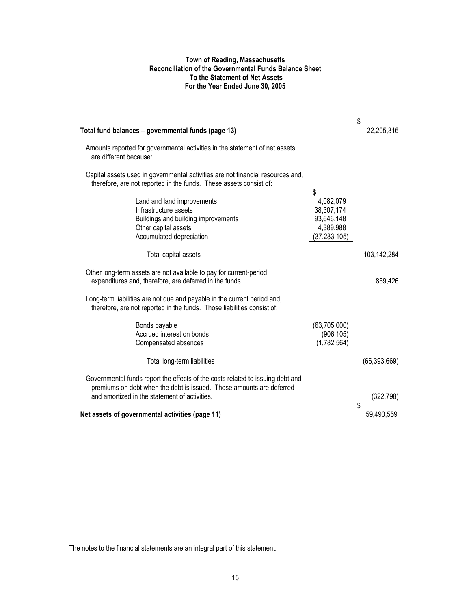## **Town of Reading, Massachusetts Reconciliation of the Governmental Funds Balance Sheet To the Statement of Net Assets For the Year Ended June 30, 2005**

| Total fund balances - governmental funds (page 13)                                                                                                    |                          | \$<br>22,205,316 |
|-------------------------------------------------------------------------------------------------------------------------------------------------------|--------------------------|------------------|
| Amounts reported for governmental activities in the statement of net assets<br>are different because:                                                 |                          |                  |
| Capital assets used in governmental activities are not financial resources and,<br>therefore, are not reported in the funds. These assets consist of: |                          |                  |
|                                                                                                                                                       | \$                       |                  |
| Land and land improvements<br>Infrastructure assets                                                                                                   | 4,082,079                |                  |
|                                                                                                                                                       | 38,307,174<br>93,646,148 |                  |
| Buildings and building improvements<br>Other capital assets                                                                                           | 4,389,988                |                  |
| Accumulated depreciation                                                                                                                              | (37, 283, 105)           |                  |
| Total capital assets                                                                                                                                  |                          | 103,142,284      |
| Other long-term assets are not available to pay for current-period                                                                                    |                          |                  |
| expenditures and, therefore, are deferred in the funds.                                                                                               |                          | 859,426          |
| Long-term liabilities are not due and payable in the current period and,<br>therefore, are not reported in the funds. Those liabilities consist of:   |                          |                  |
| Bonds payable                                                                                                                                         | (63,705,000)             |                  |
| Accrued interest on bonds                                                                                                                             | (906, 105)               |                  |
| Compensated absences                                                                                                                                  | (1,782,564)              |                  |
| Total long-term liabilities                                                                                                                           |                          | (66, 393, 669)   |
| Governmental funds report the effects of the costs related to issuing debt and                                                                        |                          |                  |
| premiums on debt when the debt is issued. These amounts are deferred                                                                                  |                          |                  |
| and amortized in the statement of activities.                                                                                                         |                          | (322,798)        |
|                                                                                                                                                       |                          |                  |
| Net assets of governmental activities (page 11)                                                                                                       |                          | 59,490,559       |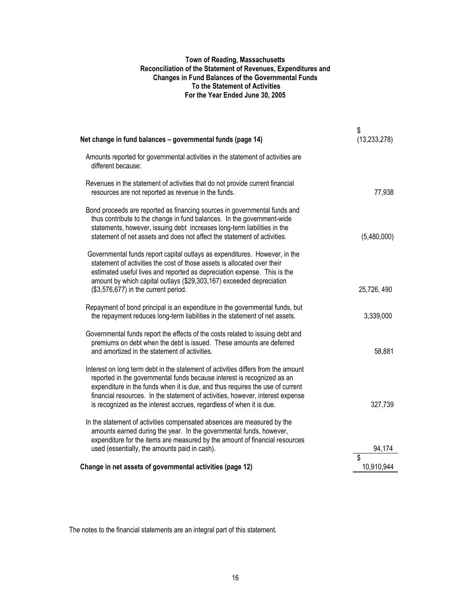## **Town of Reading, Massachusetts Reconciliation of the Statement of Revenues, Expenditures and Changes in Fund Balances of the Governmental Funds To the Statement of Activities For the Year Ended June 30, 2005**

| Net change in fund balances - governmental funds (page 14)                                                                                                                                                                                                                                                                                                                                              | \$<br>(13, 233, 278) |
|---------------------------------------------------------------------------------------------------------------------------------------------------------------------------------------------------------------------------------------------------------------------------------------------------------------------------------------------------------------------------------------------------------|----------------------|
| Amounts reported for governmental activities in the statement of activities are<br>different because:                                                                                                                                                                                                                                                                                                   |                      |
| Revenues in the statement of activities that do not provide current financial<br>resources are not reported as revenue in the funds.                                                                                                                                                                                                                                                                    | 77,938               |
| Bond proceeds are reported as financing sources in governmental funds and<br>thus contribute to the change in fund balances. In the government-wide<br>statements, however, issuing debt increases long-term liabilities in the<br>statement of net assets and does not affect the statement of activities.                                                                                             | (5,480,000)          |
| Governmental funds report capital outlays as expenditures. However, in the<br>statement of activities the cost of those assets is allocated over their<br>estimated useful lives and reported as depreciation expense. This is the<br>amount by which capital outlays (\$29,303,167) exceeded depreciation                                                                                              |                      |
| (\$3,576,677) in the current period.                                                                                                                                                                                                                                                                                                                                                                    | 25,726,490           |
| Repayment of bond principal is an expenditure in the governmental funds, but<br>the repayment reduces long-term liabilities in the statement of net assets.                                                                                                                                                                                                                                             | 3,339,000            |
| Governmental funds report the effects of the costs related to issuing debt and<br>premiums on debt when the debt is issued. These amounts are deferred<br>and amortized in the statement of activities.                                                                                                                                                                                                 | 58,881               |
| Interest on long term debt in the statement of activities differs from the amount<br>reported in the governmental funds because interest is recognized as an<br>expenditure in the funds when it is due, and thus requires the use of current<br>financial resources. In the statement of activities, however, interest expense<br>is recognized as the interest accrues, regardless of when it is due. | 327,739              |
| In the statement of activities compensated absences are measured by the<br>amounts earned during the year. In the governmental funds, however,<br>expenditure for the items are measured by the amount of financial resources                                                                                                                                                                           |                      |
| used (essentially, the amounts paid in cash).                                                                                                                                                                                                                                                                                                                                                           | 94,174<br>\$         |
| Change in net assets of governmental activities (page 12)                                                                                                                                                                                                                                                                                                                                               | 10,910,944           |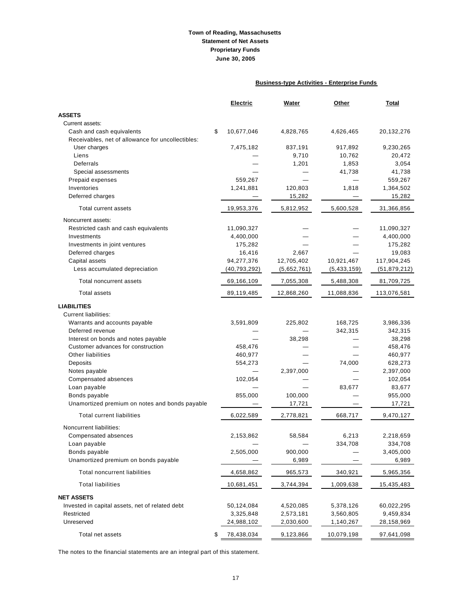## **Town of Reading, Massachusetts Statement of Net Assets Proprietary Funds June 30, 2005**

## **Business-type Activities - Enterprise Funds**

|                                                   | Electric         | Water       | Other       | Total          |
|---------------------------------------------------|------------------|-------------|-------------|----------------|
| <b>ASSETS</b>                                     |                  |             |             |                |
| Current assets:                                   |                  |             |             |                |
| Cash and cash equivalents                         | \$<br>10,677,046 | 4,828,765   | 4,626,465   | 20,132,276     |
| Receivables, net of allowance for uncollectibles: |                  |             |             |                |
| User charges                                      | 7,475,182        | 837,191     | 917,892     | 9,230,265      |
| Liens                                             |                  | 9,710       | 10,762      | 20,472         |
| Deferrals                                         |                  | 1,201       | 1,853       | 3,054          |
| Special assessments                               |                  |             | 41,738      | 41,738         |
| Prepaid expenses                                  | 559,267          |             |             | 559,267        |
| Inventories                                       | 1,241,881        | 120,803     | 1,818       | 1,364,502      |
| Deferred charges                                  |                  | 15,282      |             | 15,282         |
| <b>Total current assets</b>                       | 19,953,376       | 5,812,952   | 5,600,528   | 31,366,856     |
| Noncurrent assets:                                |                  |             |             |                |
| Restricted cash and cash equivalents              | 11,090,327       |             |             | 11,090,327     |
| Investments                                       | 4,400,000        |             |             | 4,400,000      |
| Investments in joint ventures                     | 175,282          |             |             | 175,282        |
| Deferred charges                                  | 16,416           | 2,667       |             | 19,083         |
| Capital assets                                    | 94,277,376       | 12,705,402  | 10,921,467  | 117,904,245    |
| Less accumulated depreciation                     | (40, 793, 292)   | (5,652,761) | (5,433,159) | (51, 879, 212) |
| Total noncurrent assets                           | 69,166,109       | 7,055,308   | 5,488,308   | 81,709,725     |
| <b>Total assets</b>                               | 89,119,485       | 12,868,260  | 11,088,836  | 113,076,581    |
| <b>LIABILITIES</b>                                |                  |             |             |                |
| <b>Current liabilities:</b>                       |                  |             |             |                |
| Warrants and accounts payable                     | 3,591,809        | 225,802     | 168,725     | 3,986,336      |
| Deferred revenue                                  |                  |             | 342,315     | 342,315        |
| Interest on bonds and notes payable               |                  | 38,298      |             | 38,298         |
| Customer advances for construction                | 458,476          |             |             | 458,476        |
| Other liabilities                                 | 460,977          |             |             | 460,977        |
| Deposits                                          | 554,273          |             | 74,000      | 628,273        |
| Notes payable                                     |                  | 2,397,000   |             | 2,397,000      |
| Compensated absences                              | 102,054          |             |             | 102,054        |
| Loan payable                                      |                  |             | 83,677      | 83,677         |
| Bonds payable                                     | 855,000          | 100,000     |             | 955,000        |
| Unamortized premium on notes and bonds payable    |                  | 17,721      |             | 17,721         |
| <b>Total current liabilities</b>                  | 6,022,589        | 2,778,821   | 668,717     | 9,470,127      |
| Noncurrent liabilities:                           |                  |             |             |                |
| Compensated absences                              | 2,153,862        | 58,584      | 6,213       | 2,218,659      |
| Loan payable                                      |                  |             | 334,708     | 334,708        |
| Bonds payable                                     | 2,505,000        | 900,000     |             | 3,405,000      |
| Unamortized premium on bonds payable              |                  | 6,989       |             | 6,989          |
| <b>Total noncurrent liabilities</b>               | 4,658,862        | 965,573     | 340,921     | 5,965,356      |
| <b>Total liabilities</b>                          | 10,681,451       | 3,744,394   | 1,009,638   | 15,435,483     |
| <b>NET ASSETS</b>                                 |                  |             |             |                |
| Invested in capital assets, net of related debt   | 50,124,084       | 4,520,085   | 5,378,126   | 60,022,295     |
| Restricted                                        | 3,325,848        | 2,573,181   | 3,560,805   | 9,459,834      |
| Unreserved                                        | 24,988,102       | 2,030,600   | 1,140,267   | 28,158,969     |
| Total net assets                                  | \$<br>78,438,034 | 9,123,866   | 10,079,198  | 97,641,098     |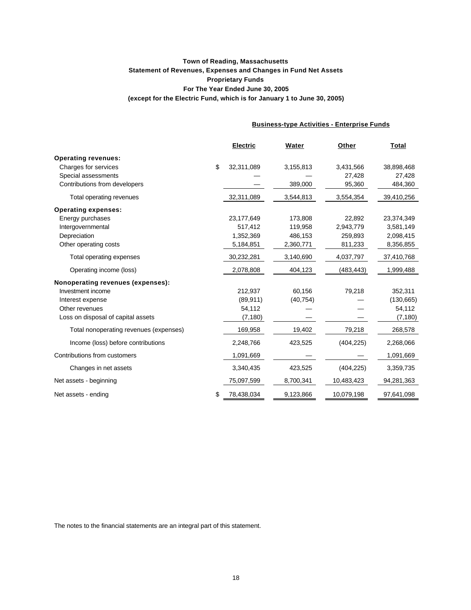## **(except for the Electric Fund, which is for January 1 to June 30, 2005) Town of Reading, Massachusetts Statement of Revenues, Expenses and Changes in Fund Net Assets Proprietary Funds For The Year Ended June 30, 2005**

**Business-type Activities - Enterprise Funds**

|                                        | <b>Electric</b>  | Water     | Other      | <b>Total</b> |
|----------------------------------------|------------------|-----------|------------|--------------|
| <b>Operating revenues:</b>             |                  |           |            |              |
| Charges for services                   | \$<br>32,311,089 | 3,155,813 | 3,431,566  | 38,898,468   |
| Special assessments                    |                  |           | 27,428     | 27,428       |
| Contributions from developers          |                  | 389,000   | 95,360     | 484,360      |
| Total operating revenues               | 32,311,089       | 3,544,813 | 3,554,354  | 39,410,256   |
| <b>Operating expenses:</b>             |                  |           |            |              |
| Energy purchases                       | 23,177,649       | 173.808   | 22,892     | 23,374,349   |
| Intergovernmental                      | 517,412          | 119,958   | 2,943,779  | 3,581,149    |
| Depreciation                           | 1,352,369        | 486,153   | 259,893    | 2,098,415    |
| Other operating costs                  | 5,184,851        | 2,360,771 | 811,233    | 8,356,855    |
| Total operating expenses               | 30,232,281       | 3,140,690 | 4,037,797  | 37,410,768   |
| Operating income (loss)                | 2,078,808        | 404,123   | (483, 443) | 1,999,488    |
| Nonoperating revenues (expenses):      |                  |           |            |              |
| Investment income                      | 212,937          | 60,156    | 79,218     | 352,311      |
| Interest expense                       | (89, 911)        | (40, 754) |            | (130, 665)   |
| Other revenues                         | 54,112           |           |            | 54,112       |
| Loss on disposal of capital assets     | (7, 180)         |           |            | (7, 180)     |
| Total nonoperating revenues (expenses) | 169,958          | 19,402    | 79,218     | 268,578      |
| Income (loss) before contributions     | 2,248,766        | 423,525   | (404, 225) | 2,268,066    |
| Contributions from customers           | 1,091,669        |           |            | 1,091,669    |
| Changes in net assets                  | 3,340,435        | 423,525   | (404, 225) | 3,359,735    |
| Net assets - beginning                 | 75,097,599       | 8,700,341 | 10,483,423 | 94,281,363   |
| Net assets - ending                    | \$<br>78,438,034 | 9,123,866 | 10,079,198 | 97,641,098   |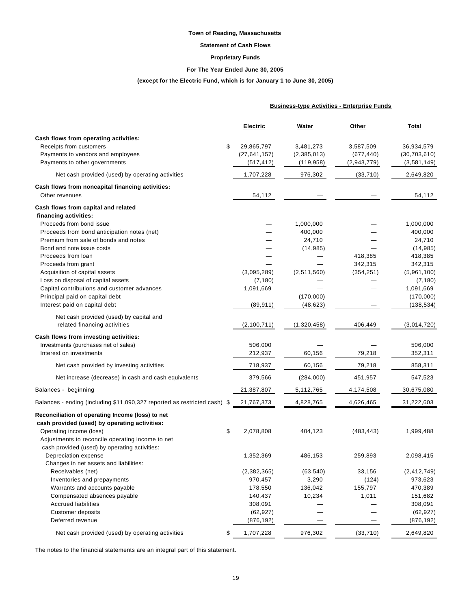### **Statement of Cash Flows**

### **Proprietary Funds**

### **For The Year Ended June 30, 2005**

## **(except for the Electric Fund, which is for January 1 to June 30, 2005)**

|                                                                           | <b>Business-type Activities - Enterprise Funds</b> |             |             |                |
|---------------------------------------------------------------------------|----------------------------------------------------|-------------|-------------|----------------|
|                                                                           | <b>Electric</b>                                    | Water       | Other       | Total          |
| Cash flows from operating activities:                                     |                                                    |             |             |                |
| Receipts from customers                                                   | \$<br>29,865,797                                   | 3,481,273   | 3,587,509   | 36,934,579     |
| Payments to vendors and employees                                         | (27, 641, 157)                                     | (2,385,013) | (677, 440)  | (30, 703, 610) |
| Payments to other governments                                             | (517, 412)                                         | (119, 958)  | (2,943,779) | (3,581,149)    |
| Net cash provided (used) by operating activities                          | 1,707,228                                          | 976,302     | (33, 710)   | 2,649,820      |
| Cash flows from noncapital financing activities:                          |                                                    |             |             |                |
| Other revenues                                                            | 54,112                                             |             |             | 54,112         |
| Cash flows from capital and related                                       |                                                    |             |             |                |
| financing activities:                                                     |                                                    |             |             |                |
| Proceeds from bond issue                                                  |                                                    | 1,000,000   |             | 1,000,000      |
| Proceeds from bond anticipation notes (net)                               |                                                    | 400,000     |             | 400,000        |
| Premium from sale of bonds and notes                                      |                                                    | 24,710      |             | 24,710         |
| Bond and note issue costs                                                 |                                                    | (14, 985)   |             | (14, 985)      |
| Proceeds from loan                                                        |                                                    |             | 418,385     | 418,385        |
| Proceeds from grant                                                       |                                                    |             | 342,315     | 342,315        |
| Acquisition of capital assets                                             | (3,095,289)                                        | (2,511,560) | (354, 251)  | (5,961,100)    |
| Loss on disposal of capital assets                                        | (7, 180)                                           |             |             | (7, 180)       |
| Capital contributions and customer advances                               | 1,091,669                                          |             |             | 1,091,669      |
| Principal paid on capital debt                                            |                                                    | (170,000)   |             | (170,000)      |
| Interest paid on capital debt                                             | (89, 911)                                          | (48, 623)   |             | (138, 534)     |
| Net cash provided (used) by capital and                                   |                                                    |             |             |                |
| related financing activities                                              | (2, 100, 711)                                      | (1,320,458) | 406,449     | (3,014,720)    |
| Cash flows from investing activities:                                     |                                                    |             |             |                |
| Investments (purchases net of sales)                                      | 506,000                                            |             |             | 506,000        |
| Interest on investments                                                   | 212,937                                            | 60,156      | 79,218      | 352,311        |
|                                                                           |                                                    |             |             |                |
| Net cash provided by investing activities                                 | 718,937                                            | 60,156      | 79,218      | 858,311        |
| Net increase (decrease) in cash and cash equivalents                      | 379,566                                            | (284,000)   | 451,957     | 547,523        |
| Balances - beginning                                                      | 21,387,807                                         | 5,112,765   | 4,174,508   | 30,675,080     |
| Balances - ending (including \$11,090,327 reported as restricted cash) \$ | 21,767,373                                         | 4,828,765   | 4,626,465   | 31,222,603     |
| Reconciliation of operating Income (loss) to net                          |                                                    |             |             |                |
| cash provided (used) by operating activities:                             |                                                    |             |             |                |
| Operating income (loss)                                                   | \$<br>2,078,808                                    | 404,123     | (483, 443)  | 1,999,488      |
| Adjustments to reconcile operating income to net                          |                                                    |             |             |                |
| cash provided (used) by operating activities:                             |                                                    |             |             |                |
| Depreciation expense                                                      | 1,352,369                                          | 486,153     | 259,893     | 2,098,415      |
| Changes in net assets and liabilities:                                    |                                                    |             |             |                |
| Receivables (net)                                                         | (2,382,365)                                        | (63, 540)   | 33,156      | (2, 412, 749)  |
| Inventories and prepayments                                               | 970,457                                            | 3,290       | (124)       | 973,623        |
| Warrants and accounts payable                                             | 178,550                                            | 136,042     | 155,797     | 470,389        |
| Compensated absences payable                                              | 140,437                                            | 10,234      | 1,011       | 151,682        |
| <b>Accrued liabilities</b>                                                | 308,091                                            |             |             | 308,091        |
| Customer deposits                                                         | (62, 927)                                          |             |             | (62, 927)      |
| Deferred revenue                                                          | (876, 192)                                         |             |             | (876, 192)     |
| Net cash provided (used) by operating activities                          | \$<br>1,707,228                                    | 976,302     | (33, 710)   | 2,649,820      |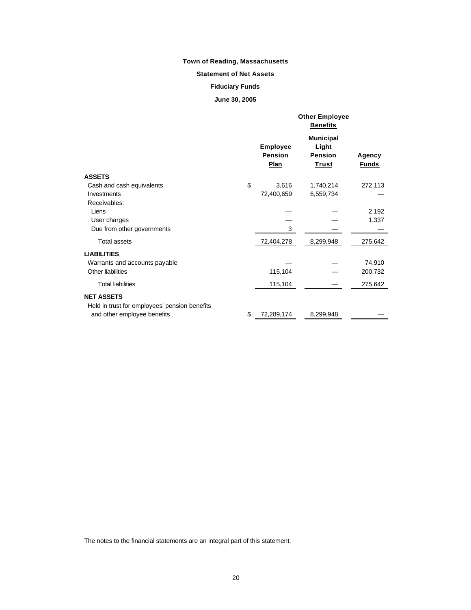## **Statement of Net Assets**

## **Fiduciary Funds**

## **June 30, 2005**

|                                                                    | <b>Other Employee</b><br><b>Benefits</b>         |                                                             |                        |  |
|--------------------------------------------------------------------|--------------------------------------------------|-------------------------------------------------------------|------------------------|--|
|                                                                    | <b>Employee</b><br><b>Pension</b><br><b>Plan</b> | <b>Municipal</b><br>Light<br><b>Pension</b><br><u>Trust</u> | Agency<br><b>Funds</b> |  |
| <b>ASSETS</b>                                                      |                                                  |                                                             |                        |  |
| Cash and cash equivalents                                          | \$<br>3,616                                      | 1,740,214                                                   | 272,113                |  |
| Investments                                                        | 72,400,659                                       | 6,559,734                                                   |                        |  |
| Receivables:                                                       |                                                  |                                                             |                        |  |
| Liens                                                              |                                                  |                                                             | 2,192                  |  |
| User charges                                                       |                                                  |                                                             | 1,337                  |  |
| Due from other governments                                         | 3                                                |                                                             |                        |  |
| <b>Total assets</b>                                                | 72,404,278                                       | 8,299,948                                                   | 275,642                |  |
| <b>LIABILITIES</b>                                                 |                                                  |                                                             |                        |  |
| Warrants and accounts payable                                      |                                                  |                                                             | 74,910                 |  |
| Other liabilities                                                  | 115,104                                          |                                                             | 200,732                |  |
| <b>Total liabilities</b>                                           | 115,104                                          |                                                             | 275,642                |  |
| <b>NET ASSETS</b><br>Held in trust for employees' pension benefits |                                                  |                                                             |                        |  |
| and other employee benefits                                        | \$<br>72,289,174                                 | 8,299,948                                                   |                        |  |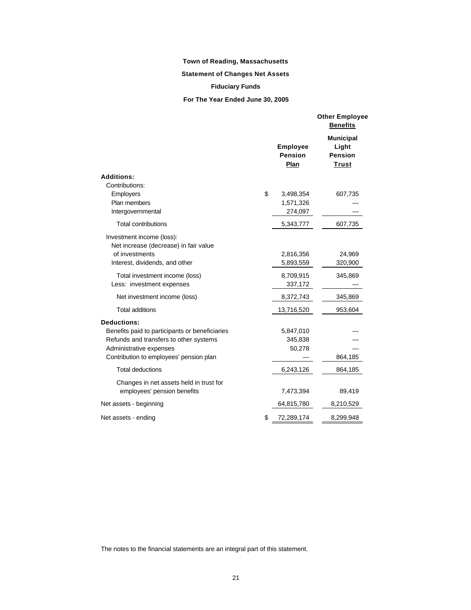## **Statement of Changes Net Assets**

## **Fiduciary Funds**

**For The Year Ended June 30, 2005**

|                                                                        |                                    | <b>Other Employee</b><br><b>Benefits</b>                    |
|------------------------------------------------------------------------|------------------------------------|-------------------------------------------------------------|
|                                                                        | <b>Employee</b><br>Pension<br>Plan | <b>Municipal</b><br>Light<br><b>Pension</b><br><b>Trust</b> |
| <b>Additions:</b>                                                      |                                    |                                                             |
| Contributions:                                                         |                                    |                                                             |
| Employers                                                              | \$<br>3,498,354                    | 607,735                                                     |
| Plan members                                                           | 1,571,326                          |                                                             |
| Intergovernmental                                                      | 274,097                            |                                                             |
| <b>Total contributions</b>                                             | 5,343,777                          | 607,735                                                     |
| Investment income (loss):<br>Net increase (decrease) in fair value     |                                    |                                                             |
| of investments                                                         | 2,816,356                          | 24,969                                                      |
| Interest, dividends, and other                                         | 5,893,559                          | 320,900                                                     |
| Total investment income (loss)                                         | 8,709,915                          | 345,869                                                     |
| Less: investment expenses                                              | 337,172                            |                                                             |
| Net investment income (loss)                                           | 8,372,743                          | 345,869                                                     |
| <b>Total additions</b>                                                 | 13,716,520                         | 953,604                                                     |
| <b>Deductions:</b>                                                     |                                    |                                                             |
| Benefits paid to participants or beneficiaries                         | 5,847,010                          |                                                             |
| Refunds and transfers to other systems                                 | 345,838                            |                                                             |
| Administrative expenses                                                | 50,278                             |                                                             |
| Contribution to employees' pension plan                                |                                    | 864,185                                                     |
| Total deductions                                                       | 6,243,126                          | 864,185                                                     |
| Changes in net assets held in trust for<br>employees' pension benefits | 7,473,394                          | 89,419                                                      |
| Net assets - beginning                                                 | 64,815,780                         | 8,210,529                                                   |
| Net assets - ending                                                    | \$<br>72,289,174                   | 8,299,948                                                   |
|                                                                        |                                    |                                                             |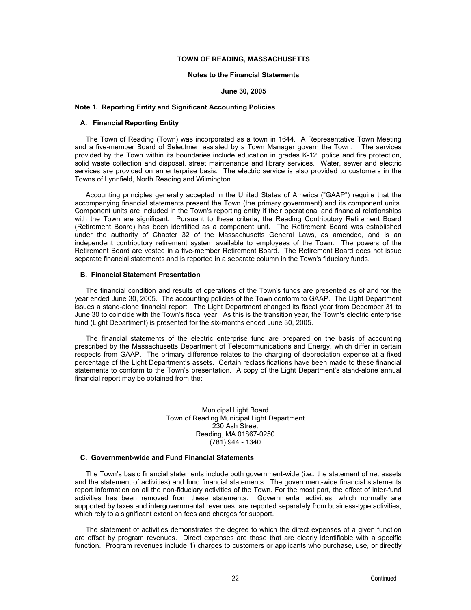#### **Notes to the Financial Statements**

#### **June 30, 2005**

#### **Note 1. Reporting Entity and Significant Accounting Policies**

## **A. Financial Reporting Entity**

The Town of Reading (Town) was incorporated as a town in 1644. A Representative Town Meeting and a five-member Board of Selectmen assisted by a Town Manager govern the Town. The services provided by the Town within its boundaries include education in grades K-12, police and fire protection, solid waste collection and disposal, street maintenance and library services. Water, sewer and electric services are provided on an enterprise basis. The electric service is also provided to customers in the Towns of Lynnfield, North Reading and Wilmington.

Accounting principles generally accepted in the United States of America ("GAAP") require that the accompanying financial statements present the Town (the primary government) and its component units. Component units are included in the Town's reporting entity if their operational and financial relationships with the Town are significant. Pursuant to these criteria, the Reading Contributory Retirement Board (Retirement Board) has been identified as a component unit. The Retirement Board was established under the authority of Chapter 32 of the Massachusetts General Laws, as amended, and is an independent contributory retirement system available to employees of the Town. The powers of the Retirement Board are vested in a five-member Retirement Board. The Retirement Board does not issue separate financial statements and is reported in a separate column in the Town's fiduciary funds.

### **B. Financial Statement Presentation**

The financial condition and results of operations of the Town's funds are presented as of and for the year ended June 30, 2005. The accounting policies of the Town conform to GAAP. The Light Department issues a stand-alone financial report. The Light Department changed its fiscal year from December 31 to June 30 to coincide with the Town's fiscal year. As this is the transition year, the Town's electric enterprise fund (Light Department) is presented for the six-months ended June 30, 2005.

The financial statements of the electric enterprise fund are prepared on the basis of accounting prescribed by the Massachusetts Department of Telecommunications and Energy, which differ in certain respects from GAAP. The primary difference relates to the charging of depreciation expense at a fixed percentage of the Light Department's assets. Certain reclassifications have been made to these financial statements to conform to the Town's presentation. A copy of the Light Department's stand-alone annual financial report may be obtained from the:

> Municipal Light Board Town of Reading Municipal Light Department 230 Ash Street Reading, MA 01867-0250 (781) 944 - 1340

#### **C. Government-wide and Fund Financial Statements**

The Town's basic financial statements include both government-wide (i.e., the statement of net assets and the statement of activities) and fund financial statements. The government-wide financial statements report information on all the non-fiduciary activities of the Town. For the most part, the effect of inter-fund activities has been removed from these statements. Governmental activities, which normally are supported by taxes and intergovernmental revenues, are reported separately from business-type activities, which rely to a significant extent on fees and charges for support.

The statement of activities demonstrates the degree to which the direct expenses of a given function are offset by program revenues. Direct expenses are those that are clearly identifiable with a specific function. Program revenues include 1) charges to customers or applicants who purchase, use, or directly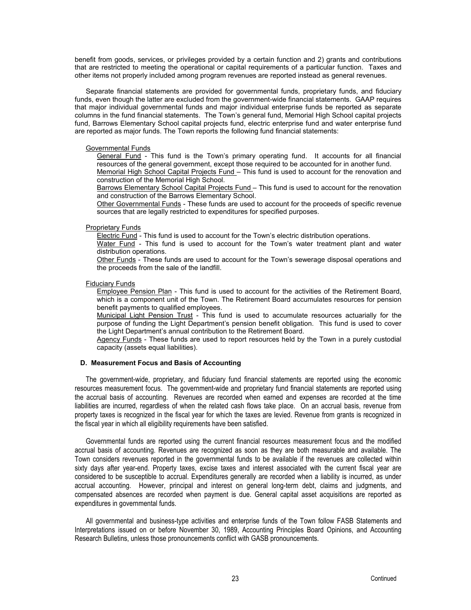benefit from goods, services, or privileges provided by a certain function and 2) grants and contributions that are restricted to meeting the operational or capital requirements of a particular function. Taxes and other items not properly included among program revenues are reported instead as general revenues.

Separate financial statements are provided for governmental funds, proprietary funds, and fiduciary funds, even though the latter are excluded from the government-wide financial statements. GAAP requires that major individual governmental funds and major individual enterprise funds be reported as separate columns in the fund financial statements.The Town's general fund, Memorial High School capital projects fund, Barrows Elementary School capital projects fund, electric enterprise fund and water enterprise fund are reported as major funds. The Town reports the following fund financial statements:

#### Governmental Funds

General Fund - This fund is the Town's primary operating fund. It accounts for all financial resources of the general government, except those required to be accounted for in another fund. Memorial High School Capital Projects Fund – This fund is used to account for the renovation and construction of the Memorial High School.

Barrows Elementary School Capital Projects Fund - This fund is used to account for the renovation and construction of the Barrows Elementary School.

Other Governmental Funds - These funds are used to account for the proceeds of specific revenue sources that are legally restricted to expenditures for specified purposes.

Proprietary Funds

Electric Fund - This fund is used to account for the Town's electric distribution operations.

Water Fund - This fund is used to account for the Town's water treatment plant and water distribution operations.

Other Funds - These funds are used to account for the Town's sewerage disposal operations and the proceeds from the sale of the landfill.

### Fiduciary Funds

Employee Pension Plan - This fund is used to account for the activities of the Retirement Board, which is a component unit of the Town. The Retirement Board accumulates resources for pension benefit payments to qualified employees.

Municipal Light Pension Trust - This fund is used to accumulate resources actuarially for the purpose of funding the Light Department's pension benefit obligation. This fund is used to cover the Light Department's annual contribution to the Retirement Board.

Agency Funds - These funds are used to report resources held by the Town in a purely custodial capacity (assets equal liabilities).

## **D. Measurement Focus and Basis of Accounting**

The government-wide, proprietary, and fiduciary fund financial statements are reported using the economic resources measurement focus. The government-wide and proprietary fund financial statements are reported using the accrual basis of accounting. Revenues are recorded when earned and expenses are recorded at the time liabilities are incurred, regardless of when the related cash flows take place. On an accrual basis, revenue from property taxes is recognized in the fiscal year for which the taxes are levied. Revenue from grants is recognized in the fiscal year in which all eligibility requirements have been satisfied.

Governmental funds are reported using the current financial resources measurement focus and the modified accrual basis of accounting. Revenues are recognized as soon as they are both measurable and available. The Town considers revenues reported in the governmental funds to be available if the revenues are collected within sixty days after year-end. Property taxes, excise taxes and interest associated with the current fiscal year are considered to be susceptible to accrual. Expenditures generally are recorded when a liability is incurred, as under accrual accounting. However, principal and interest on general long-term debt, claims and judgments, and compensated absences are recorded when payment is due. General capital asset acquisitions are reported as expenditures in governmental funds.

All governmental and business-type activities and enterprise funds of the Town follow FASB Statements and Interpretations issued on or before November 30, 1989, Accounting Principles Board Opinions, and Accounting Research Bulletins, unless those pronouncements conflict with GASB pronouncements.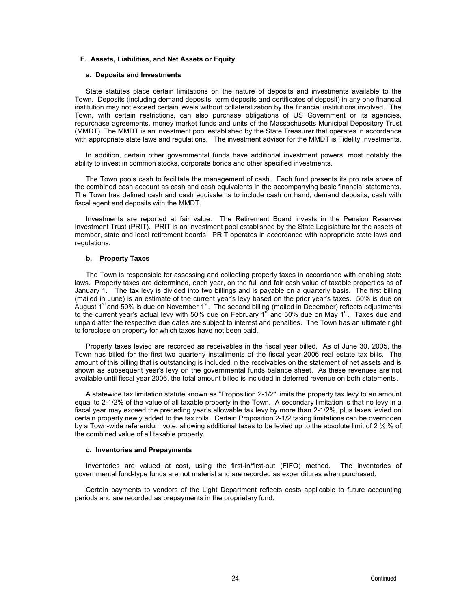### **E. Assets, Liabilities, and Net Assets or Equity**

#### **a. Deposits and Investments**

State statutes place certain limitations on the nature of deposits and investments available to the Town. Deposits (including demand deposits, term deposits and certificates of deposit) in any one financial institution may not exceed certain levels without collateralization by the financial institutions involved. The Town, with certain restrictions, can also purchase obligations of US Government or its agencies, repurchase agreements, money market funds and units of the Massachusetts Municipal Depository Trust (MMDT). The MMDT is an investment pool established by the State Treasurer that operates in accordance with appropriate state laws and regulations. The investment advisor for the MMDT is Fidelity Investments.

In addition, certain other governmental funds have additional investment powers, most notably the ability to invest in common stocks, corporate bonds and other specified investments.

The Town pools cash to facilitate the management of cash. Each fund presents its pro rata share of the combined cash account as cash and cash equivalents in the accompanying basic financial statements. The Town has defined cash and cash equivalents to include cash on hand, demand deposits, cash with fiscal agent and deposits with the MMDT.

Investments are reported at fair value. The Retirement Board invests in the Pension Reserves Investment Trust (PRIT). PRIT is an investment pool established by the State Legislature for the assets of member, state and local retirement boards. PRIT operates in accordance with appropriate state laws and regulations.

### **b. Property Taxes**

The Town is responsible for assessing and collecting property taxes in accordance with enabling state laws. Property taxes are determined, each year, on the full and fair cash value of taxable properties as of January 1. The tax levy is divided into two billings and is payable on a quarterly basis. The first billing (mailed in June) is an estimate of the current year's levy based on the prior year's taxes. 50% is due on August  $1<sup>st</sup>$  and 50% is due on November  $1<sup>st</sup>$ . The second billing (mailed in December) reflects adjustments to the current year's actual levy with 50% due on February 1<sup>st</sup> and 50% due on May 1<sup>st</sup>. Taxes due and unpaid after the respective due dates are subject to interest and penalties. The Town has an ultimate right to foreclose on property for which taxes have not been paid.

Property taxes levied are recorded as receivables in the fiscal year billed. As of June 30, 2005, the Town has billed for the first two quarterly installments of the fiscal year 2006 real estate tax bills. The amount of this billing that is outstanding is included in the receivables on the statement of net assets and is shown as subsequent year's levy on the governmental funds balance sheet. As these revenues are not available until fiscal year 2006, the total amount billed is included in deferred revenue on both statements.

A statewide tax limitation statute known as "Proposition 2-1/2" limits the property tax levy to an amount equal to 2-1/2% of the value of all taxable property in the Town. A secondary limitation is that no levy in a fiscal year may exceed the preceding year's allowable tax levy by more than 2-1/2%, plus taxes levied on certain property newly added to the tax rolls. Certain Proposition 2-1/2 taxing limitations can be overridden by a Town-wide referendum vote, allowing additional taxes to be levied up to the absolute limit of 2 ½ % of the combined value of all taxable property.

#### **c. Inventories and Prepayments**

Inventories are valued at cost, using the first-in/first-out (FIFO) method. The inventories of governmental fund-type funds are not material and are recorded as expenditures when purchased.

Certain payments to vendors of the Light Department reflects costs applicable to future accounting periods and are recorded as prepayments in the proprietary fund.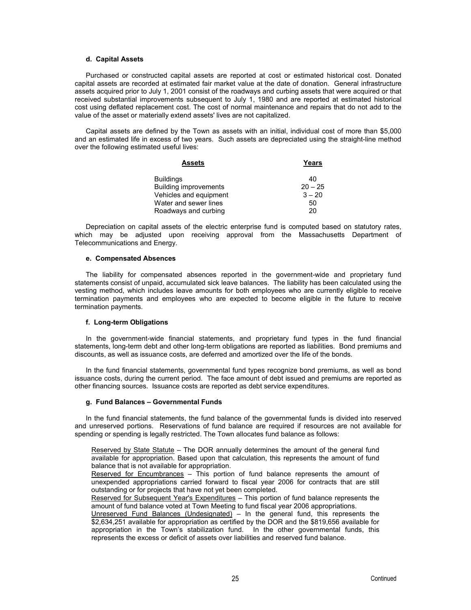#### **d. Capital Assets**

Purchased or constructed capital assets are reported at cost or estimated historical cost. Donated capital assets are recorded at estimated fair market value at the date of donation. General infrastructure assets acquired prior to July 1, 2001 consist of the roadways and curbing assets that were acquired or that received substantial improvements subsequent to July 1, 1980 and are reported at estimated historical cost using deflated replacement cost. The cost of normal maintenance and repairs that do not add to the value of the asset or materially extend assets' lives are not capitalized.

Capital assets are defined by the Town as assets with an initial, individual cost of more than \$5,000 and an estimated life in excess of two years. Such assets are depreciated using the straight-line method over the following estimated useful lives:

| <b>Assets</b>                | Years     |
|------------------------------|-----------|
| <b>Buildings</b>             | 40        |
| <b>Building improvements</b> | $20 - 25$ |
| Vehicles and equipment       | $3 - 20$  |
| Water and sewer lines        | 50        |
| Roadways and curbing         | 20        |

Depreciation on capital assets of the electric enterprise fund is computed based on statutory rates, which may be adjusted upon receiving approval from the Massachusetts Department of Telecommunications and Energy.

### **e. Compensated Absences**

The liability for compensated absences reported in the government-wide and proprietary fund statements consist of unpaid, accumulated sick leave balances. The liability has been calculated using the vesting method, which includes leave amounts for both employees who are currently eligible to receive termination payments and employees who are expected to become eligible in the future to receive termination payments.

## **f. Long-term Obligations**

In the government-wide financial statements, and proprietary fund types in the fund financial statements, long-term debt and other long-term obligations are reported as liabilities. Bond premiums and discounts, as well as issuance costs, are deferred and amortized over the life of the bonds.

In the fund financial statements, governmental fund types recognize bond premiums, as well as bond issuance costs, during the current period. The face amount of debt issued and premiums are reported as other financing sources. Issuance costs are reported as debt service expenditures.

#### **g. Fund Balances – Governmental Funds**

In the fund financial statements, the fund balance of the governmental funds is divided into reserved and unreserved portions. Reservations of fund balance are required if resources are not available for spending or spending is legally restricted. The Town allocates fund balance as follows:

Reserved by State Statute – The DOR annually determines the amount of the general fund available for appropriation. Based upon that calculation, this represents the amount of fund balance that is not available for appropriation.

Reserved for Encumbrances – This portion of fund balance represents the amount of unexpended appropriations carried forward to fiscal year 2006 for contracts that are still outstanding or for projects that have not yet been completed.

Reserved for Subsequent Year's Expenditures – This portion of fund balance represents the amount of fund balance voted at Town Meeting to fund fiscal year 2006 appropriations.

Unreserved Fund Balances (Undesignated) – In the general fund, this represents the \$2,634,251 available for appropriation as certified by the DOR and the \$819,656 available for appropriation in the Town's stabilization fund. In the other governmental funds, this represents the excess or deficit of assets over liabilities and reserved fund balance.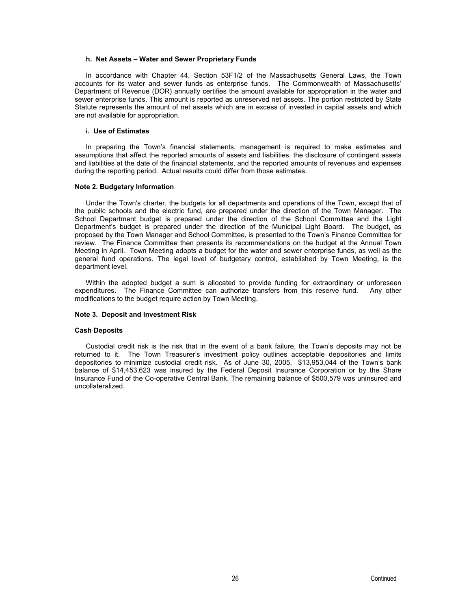#### **h. Net Assets – Water and Sewer Proprietary Funds**

In accordance with Chapter 44, Section 53F1/2 of the Massachusetts General Laws, the Town accounts for its water and sewer funds as enterprise funds. The Commonwealth of Massachusetts' Department of Revenue (DOR) annually certifies the amount available for appropriation in the water and sewer enterprise funds. This amount is reported as unreserved net assets. The portion restricted by State Statute represents the amount of net assets which are in excess of invested in capital assets and which are not available for appropriation.

### **i. Use of Estimates**

In preparing the Town's financial statements, management is required to make estimates and assumptions that affect the reported amounts of assets and liabilities, the disclosure of contingent assets and liabilities at the date of the financial statements, and the reported amounts of revenues and expenses during the reporting period. Actual results could differ from those estimates.

#### **Note 2. Budgetary Information**

Under the Town's charter, the budgets for all departments and operations of the Town, except that of the public schools and the electric fund, are prepared under the direction of the Town Manager. The School Department budget is prepared under the direction of the School Committee and the Light Department's budget is prepared under the direction of the Municipal Light Board. The budget, as proposed by the Town Manager and School Committee, is presented to the Town's Finance Committee for review. The Finance Committee then presents its recommendations on the budget at the Annual Town Meeting in April. Town Meeting adopts a budget for the water and sewer enterprise funds, as well as the general fund operations. The legal level of budgetary control, established by Town Meeting, is the department level.

Within the adopted budget a sum is allocated to provide funding for extraordinary or unforeseen expenditures. The Finance Committee can authorize transfers from this reserve fund. Any other modifications to the budget require action by Town Meeting.

#### **Note 3. Deposit and Investment Risk**

### **Cash Deposits**

Custodial credit risk is the risk that in the event of a bank failure, the Town's deposits may not be returned to it. The Town Treasurer's investment policy outlines acceptable depositories and limits depositories to minimize custodial credit risk. As of June 30, 2005, \$13,953,044 of the Town's bank balance of \$14,453,623 was insured by the Federal Deposit Insurance Corporation or by the Share Insurance Fund of the Co-operative Central Bank. The remaining balance of \$500,579 was uninsured and uncollateralized.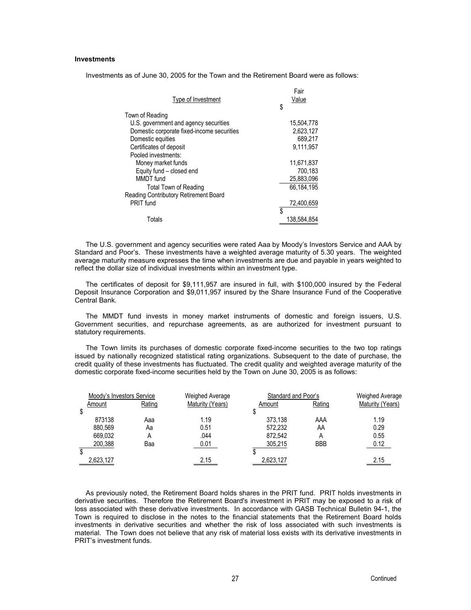## **Investments**

Investments as of June 30, 2005 for the Town and the Retirement Board were as follows:

Fair

|                                            | гaн         |
|--------------------------------------------|-------------|
| Type of Investment                         | Value       |
|                                            | \$          |
| Town of Reading                            |             |
| U.S. government and agency securities      | 15.504.778  |
| Domestic corporate fixed-income securities | 2,623,127   |
| Domestic equities                          | 689.217     |
| Certificates of deposit                    | 9.111.957   |
| Pooled investments:                        |             |
| Money market funds                         | 11,671,837  |
| Equity fund – closed end                   | 700,183     |
| MMDT fund                                  | 25,883,096  |
| <b>Total Town of Reading</b>               | 66,184,195  |
| Reading Contributory Retirement Board      |             |
| PRIT fund                                  | 72,400,659  |
|                                            | \$          |
| Totals                                     | 138,584,854 |
|                                            |             |

The U.S. government and agency securities were rated Aaa by Moody's Investors Service and AAA by Standard and Poor's. These investments have a weighted average maturity of 5.30 years. The weighted average maturity measure expresses the time when investments are due and payable in years weighted to reflect the dollar size of individual investments within an investment type.

The certificates of deposit for \$9,111,957 are insured in full, with \$100,000 insured by the Federal Deposit Insurance Corporation and \$9,011,957 insured by the Share Insurance Fund of the Cooperative Central Bank.

The MMDT fund invests in money market instruments of domestic and foreign issuers, U.S. Government securities, and repurchase agreements, as are authorized for investment pursuant to statutory requirements.

The Town limits its purchases of domestic corporate fixed-income securities to the two top ratings issued by nationally recognized statistical rating organizations. Subsequent to the date of purchase, the credit quality of these investments has fluctuated. The credit quality and weighted average maturity of the domestic corporate fixed-income securities held by the Town on June 30, 2005 is as follows:

| Moody's Investors Service<br>Weighed Average |        |                  | Standard and Poor's |            | Weighed Average  |
|----------------------------------------------|--------|------------------|---------------------|------------|------------------|
| Amount                                       | Rating | Maturity (Years) | Amount              | Rating     | Maturity (Years) |
| \$                                           |        |                  |                     |            |                  |
| 873138                                       | Aaa    | 1.19             | 373.138             | AAA        | 1.19             |
| 880.569                                      | Aa     | 0.51             | 572.232             | ΑA         | 0.29             |
| 669.032                                      | A      | .044             | 872.542             | A          | 0.55             |
| 200.388                                      | Baa    | 0.01             | 305.215             | <b>BBB</b> | 0.12             |
|                                              |        |                  |                     |            |                  |
| 2,623,127                                    |        | 2.15             | 2,623,127           |            | 2.15             |
|                                              |        |                  |                     |            |                  |

As previously noted, the Retirement Board holds shares in the PRIT fund. PRIT holds investments in derivative securities. Therefore the Retirement Board's investment in PRIT may be exposed to a risk of loss associated with these derivative investments. In accordance with GASB Technical Bulletin 94-1, the Town is required to disclose in the notes to the financial statements that the Retirement Board holds investments in derivative securities and whether the risk of loss associated with such investments is material. The Town does not believe that any risk of material loss exists with its derivative investments in PRIT's investment funds.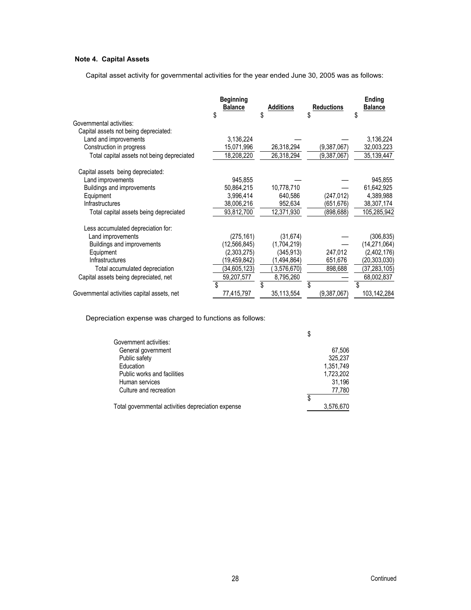## **Note 4. Capital Assets**

Capital asset activity for governmental activities for the year ended June 30, 2005 was as follows:

|                                             | <b>Beginning</b><br><b>Balance</b><br>\$ | <b>Additions</b><br>\$ | <b>Reductions</b><br>\$ | Ending<br><b>Balance</b><br>\$ |
|---------------------------------------------|------------------------------------------|------------------------|-------------------------|--------------------------------|
| Governmental activities:                    |                                          |                        |                         |                                |
| Capital assets not being depreciated:       |                                          |                        |                         |                                |
| Land and improvements                       | 3,136,224                                |                        |                         | 3,136,224                      |
| Construction in progress                    | 15,071,996                               | 26,318,294             | (9,387,067)             | 32,003,223                     |
| Total capital assets not being depreciated  | 18,208,220                               | 26,318,294             | (9,387,067)             | 35,139,447                     |
| Capital assets being depreciated:           |                                          |                        |                         |                                |
| Land improvements                           | 945,855                                  |                        |                         | 945,855                        |
| Buildings and improvements                  | 50,864,215                               | 10,778,710             |                         | 61,642,925                     |
| Equipment                                   | 3,996,414                                | 640,586                | (247,012)               | 4,389,988                      |
| Infrastructures                             | 38,006,216                               | 952,634                | (651,676)               | 38,307,174                     |
| Total capital assets being depreciated      | 93,812,700                               | 12,371,930             | (898,688)               | 105,285,942                    |
| Less accumulated depreciation for:          |                                          |                        |                         |                                |
| Land improvements                           | (275, 161)                               | (31, 674)              |                         | (306,835)                      |
| Buildings and improvements                  | (12, 566, 845)                           | (1,704,219)            |                         | (14, 271, 064)                 |
| Equipment                                   | (2,303,275)                              | (345,913)              | 247,012                 | (2,402,176)                    |
| Infrastructures                             | (19,459,842)                             | (1,494,864)            | 651,676                 | (20,303,030)                   |
| Total accumulated depreciation              | (34,605,123)                             | 3,576,670)             | 898,688                 | (37,283,105)                   |
| Capital assets being depreciated, net       | 59,207,577                               | 8,795,260              |                         | 68,002,837                     |
|                                             | \$                                       | \$                     |                         | \$                             |
| Governmental activities capital assets, net | 77,415,797                               | 35,113,554             | (9,387,067)             | 103,142,284                    |

Depreciation expense was charged to functions as follows:

|                                                    | \$        |
|----------------------------------------------------|-----------|
| Government activities:                             |           |
| General government                                 | 67.506    |
| Public safety                                      | 325,237   |
| Education                                          | 1,351,749 |
| Public works and facilities                        | 1,723,202 |
| Human services                                     | 31.196    |
| Culture and recreation                             | 77,780    |
|                                                    | \$        |
| Total governmental activities depreciation expense | 3,576,670 |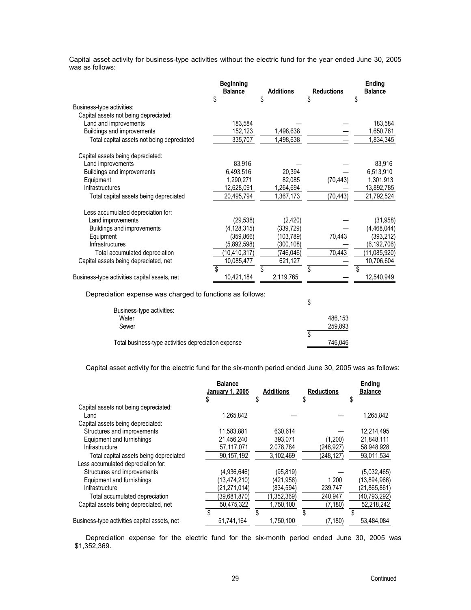Capital asset activity for business-type activities without the electric fund for the year ended June 30, 2005 was as follows:

|                                              | <b>Beginning</b><br><b>Balance</b> | <b>Additions</b> | <b>Reductions</b> | Ending<br><b>Balance</b> |
|----------------------------------------------|------------------------------------|------------------|-------------------|--------------------------|
|                                              | \$                                 | \$               | \$                | \$                       |
| Business-type activities:                    |                                    |                  |                   |                          |
| Capital assets not being depreciated:        |                                    |                  |                   |                          |
| Land and improvements                        | 183,584                            |                  |                   | 183,584                  |
| Buildings and improvements                   | 152,123                            | 1,498,638        |                   | 1,650,761                |
| Total capital assets not being depreciated   | 335,707                            | 1,498,638        |                   | 1,834,345                |
| Capital assets being depreciated:            |                                    |                  |                   |                          |
| Land improvements                            | 83,916                             |                  |                   | 83,916                   |
| Buildings and improvements                   | 6,493,516                          | 20.394           |                   | 6,513,910                |
| Equipment                                    | 1,290,271                          | 82,085           | (70, 443)         | 1,301,913                |
| Infrastructures                              | 12,628,091                         | 1,264,694        |                   | 13,892,785               |
| Total capital assets being depreciated       | 20,495,794                         | 1,367,173        | (70, 443)         | 21,792,524               |
| Less accumulated depreciation for:           |                                    |                  |                   |                          |
| Land improvements                            | (29, 538)                          | (2, 420)         |                   | (31, 958)                |
| Buildings and improvements                   | (4, 128, 315)                      | (339,729)        |                   | (4,468,044)              |
| Equipment                                    | (359,866)                          | (103, 789)       | 70.443            | (393, 212)               |
| <b>Infrastructures</b>                       | (5,892,598)                        | (300,108)        |                   | (6, 192, 706)            |
| Total accumulated depreciation               | (10, 410, 317)                     | (746,046)        | 70,443            | (11,085,920)             |
| Capital assets being depreciated, net        | 10,085,477                         | 621,127          |                   | 10,706,604               |
|                                              | \$                                 | \$               | \$                | \$                       |
| Business-type activities capital assets, net | 10,421,184                         | 2,119,765        |                   | 12,540,949               |

Depreciation expense was charged to functions as follows:

| Business-type activities:                           |    |         |
|-----------------------------------------------------|----|---------|
| Water                                               |    | 486.153 |
| Sewer                                               |    | 259,893 |
|                                                     | J. |         |
| Total business-type activities depreciation expense |    | 746.046 |

Capital asset activity for the electric fund for the six-month period ended June 30, 2005 was as follows:

|                                              | <b>Balance</b><br>January 1, 2005 | <b>Additions</b> | <b>Reductions</b> | Ending<br><b>Balance</b> |
|----------------------------------------------|-----------------------------------|------------------|-------------------|--------------------------|
|                                              | S                                 | \$               | \$                | \$                       |
| Capital assets not being depreciated:        |                                   |                  |                   |                          |
| Land                                         | 1.265.842                         |                  |                   | 1,265,842                |
| Capital assets being depreciated:            |                                   |                  |                   |                          |
| Structures and improvements                  | 11,583,881                        | 630.614          |                   | 12,214,495               |
| Equipment and furnishings                    | 21,456,240                        | 393.071          | (1,200)           | 21,848,111               |
| Infrastructure                               | 57,117,071                        | 2,078,784        | (246,927)         | 58,948,928               |
| Total capital assets being depreciated       | 90,157,192                        | 3,102,469        | (248, 127)        | 93,011,534               |
| Less accumulated depreciation for:           |                                   |                  |                   |                          |
| Structures and improvements                  | (4.936.646)                       | (95, 819)        |                   | (5.032, 465)             |
| Equipment and furnishings                    | (13,474,210)                      | (421.956)        | 1.200             | (13,894,966)             |
| Infrastructure                               | (21,271,014)                      | (834,594)        | 239,747           | (21, 865, 861)           |
| Total accumulated depreciation               | (39,681,870)                      | (1,352,369)      | 240,947           | (40, 793, 292)           |
| Capital assets being depreciated, net        | 50,475,322                        | 1,750,100        | (7, 180)          | 52,218,242               |
|                                              | \$                                | \$               | \$                | \$                       |
| Business-type activities capital assets, net | 51,741,164                        | 1,750,100        | (7, 180)          | 53,484,084               |

Depreciation expense for the electric fund for the six-month period ended June 30, 2005 was \$1,352,369.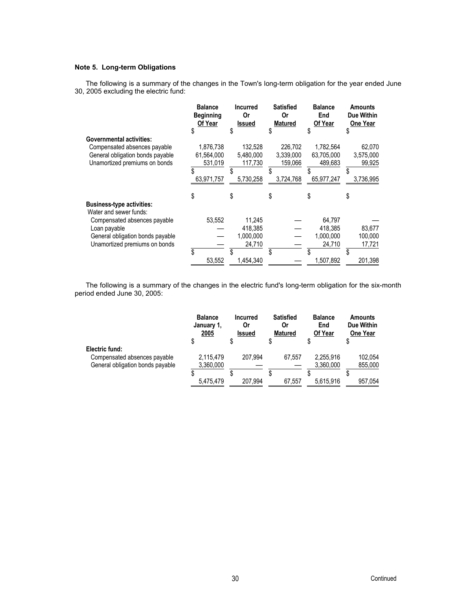## **Note 5. Long-term Obligations**

The following is a summary of the changes in the Town's long-term obligation for the year ended June 30, 2005 excluding the electric fund:

|                                  | <b>Balance</b><br><b>Beginning</b><br>Of Year<br>\$ | <b>Incurred</b><br><b>Or</b><br><b>Issued</b><br>\$ | <b>Satisfied</b><br>0r<br><b>Matured</b><br>\$. | <b>Balance</b><br>End<br>Of Year<br>\$ | <b>Amounts</b><br>Due Within<br><b>One Year</b><br>S |
|----------------------------------|-----------------------------------------------------|-----------------------------------------------------|-------------------------------------------------|----------------------------------------|------------------------------------------------------|
| <b>Governmental activities:</b>  |                                                     |                                                     |                                                 |                                        |                                                      |
| Compensated absences payable     | 1,876,738                                           | 132,528                                             | 226,702                                         | 1,782,564                              | 62,070                                               |
| General obligation bonds payable | 61,564,000                                          | 5,480,000                                           | 3,339,000                                       | 63,705,000                             | 3,575,000                                            |
|                                  |                                                     |                                                     | 159.066                                         | 489.683                                |                                                      |
| Unamortized premiums on bonds    | 531,019                                             | 117,730                                             |                                                 |                                        | 99,925                                               |
|                                  |                                                     |                                                     |                                                 | \$                                     |                                                      |
|                                  | 63,971,757                                          | 5.730.258                                           | 3,724,768                                       | 65.977.247                             | 3,736,995                                            |
|                                  | \$                                                  | \$                                                  | \$                                              | \$                                     | \$                                                   |
| <b>Business-type activities:</b> |                                                     |                                                     |                                                 |                                        |                                                      |
| Water and sewer funds:           |                                                     |                                                     |                                                 |                                        |                                                      |
| Compensated absences payable     | 53,552                                              | 11,245                                              |                                                 | 64.797                                 |                                                      |
| Loan payable                     |                                                     | 418,385                                             |                                                 | 418,385                                | 83,677                                               |
| General obligation bonds payable |                                                     | 1,000,000                                           |                                                 | 1,000,000                              | 100,000                                              |
| Unamortized premiums on bonds    |                                                     | 24,710                                              |                                                 | 24,710                                 | 17,721                                               |
|                                  | \$                                                  |                                                     |                                                 |                                        |                                                      |
|                                  | 53,552                                              | 1,454,340                                           |                                                 | 1,507,892                              | 201,398                                              |

The following is a summary of the changes in the electric fund's long-term obligation for the six-month period ended June 30, 2005:

|                                  | <b>Balance</b><br>January 1,<br><u>2005</u> | <b>Incurred</b><br>Or<br><b>Issued</b> | <b>Satisfied</b><br>Or<br>Matured | <b>Balance</b><br>End<br>Of Year | <b>Amounts</b><br>Due Within<br><b>One Year</b> |
|----------------------------------|---------------------------------------------|----------------------------------------|-----------------------------------|----------------------------------|-------------------------------------------------|
|                                  |                                             |                                        |                                   |                                  |                                                 |
| Electric fund:                   |                                             |                                        |                                   |                                  |                                                 |
| Compensated absences payable     | 2,115,479                                   | 207.994                                | 67.557                            | 2.255.916                        | 102,054                                         |
| General obligation bonds payable | 3,360,000                                   |                                        |                                   | 3,360,000                        | 855,000                                         |
|                                  |                                             |                                        |                                   |                                  |                                                 |
|                                  | 5.475.479                                   | 207.994                                | 67.557                            | 5.615.916                        | 957,054                                         |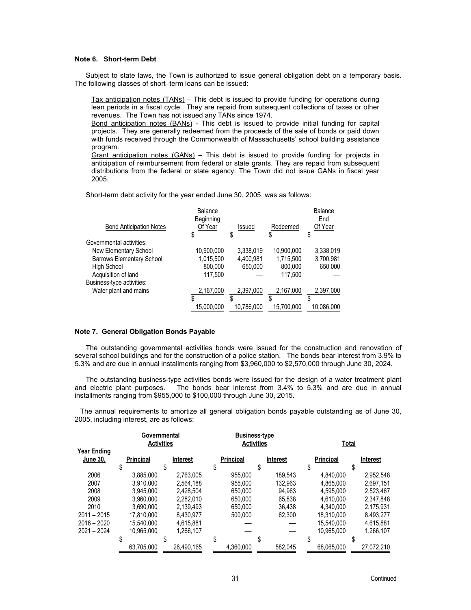## **Note 6. Short-term Debt**

Subject to state laws, the Town is authorized to issue general obligation debt on a temporary basis. The following classes of short–term loans can be issued:

Tax anticipation notes (TANs) – This debt is issued to provide funding for operations during lean periods in a fiscal cycle. They are repaid from subsequent collections of taxes or other revenues. The Town has not issued any TANs since 1974.

Bond anticipation notes (BANs) - This debt is issued to provide initial funding for capital projects. They are generally redeemed from the proceeds of the sale of bonds or paid down with funds received through the Commonwealth of Massachusetts' school building assistance program.

Grant anticipation notes  $(GANs)$  – This debt is issued to provide funding for projects in anticipation of reimbursement from federal or state grants. They are repaid from subsequent distributions from the federal or state agency. The Town did not issue GANs in fiscal year 2005.

Short-term debt activity for the year ended June 30, 2005, was as follows:

|                                  | Balance<br>Beginning |            |            | Balance<br>End |
|----------------------------------|----------------------|------------|------------|----------------|
| <b>Bond Anticipation Notes</b>   | Of Year              | Issued     | Redeemed   | Of Year        |
|                                  | \$                   | \$         | S          | \$             |
| Governmental activities:         |                      |            |            |                |
| New Elementary School            | 10,900,000           | 3,338,019  | 10,900,000 | 3,338,019      |
| <b>Barrows Elementary School</b> | 1,015,500            | 4,400,981  | 1,715,500  | 3,700,981      |
| <b>High School</b>               | 800.000              | 650.000    | 800.000    | 650.000        |
| Acquisition of land              | 117.500              |            | 117.500    |                |
| Business-type activities:        |                      |            |            |                |
| Water plant and mains            | 2,167,000            | 2,397,000  | 2,167,000  | 2,397,000      |
|                                  | \$                   | S          |            | S              |
|                                  | 15,000,000           | 10,786,000 | 15,700,000 | 10,086,000     |

#### **Note 7. General Obligation Bonds Payable**

The outstanding governmental activities bonds were issued for the construction and renovation of several school buildings and for the construction of a police station. The bonds bear interest from 3.9% to 5.3% and are due in annual installments ranging from \$3,960,000 to \$2,570,000 through June 30, 2024.

The outstanding business-type activities bonds were issued for the design of a water treatment plant and electric plant purposes. The bonds bear interest from 3.4% to 5.3% and are due in annual installments ranging from \$955,000 to \$100,000 through June 30, 2015.

The annual requirements to amortize all general obligation bonds payable outstanding as of June 30, 2005, including interest, are as follows:

|                                       | Governmental<br><b>Activities</b> |   |                 |   | <b>Business-type</b><br><b>Activities</b> |   |          |   |                  | <b>Total</b> |            |
|---------------------------------------|-----------------------------------|---|-----------------|---|-------------------------------------------|---|----------|---|------------------|--------------|------------|
| <b>Year Ending</b><br><b>June 30,</b> | \$<br>Principal                   | S | <b>Interest</b> | S | Principal                                 | S | Interest | S | <b>Principal</b> | S            | Interest   |
| 2006                                  | 3.885.000                         |   | 2.763.005       |   | 955.000                                   |   | 189.543  |   | 4.840.000        |              | 2,952,548  |
| 2007                                  | 3.910.000                         |   | 2.564.188       |   | 955.000                                   |   | 132.963  |   | 4.865.000        |              | 2.697.151  |
| 2008                                  | 3.945.000                         |   | 2.428.504       |   | 650.000                                   |   | 94.963   |   | 4.595.000        |              | 2.523.467  |
| 2009                                  | 3.960.000                         |   | 2.282.010       |   | 650.000                                   |   | 65.838   |   | 4.610.000        |              | 2.347.848  |
| 2010                                  | 3.690.000                         |   | 2.139.493       |   | 650.000                                   |   | 36.438   |   | 4.340.000        |              | 2,175,931  |
| $2011 - 2015$                         | 17.810.000                        |   | 8.430.977       |   | 500.000                                   |   | 62.300   |   | 18.310.000       |              | 8.493.277  |
| $2016 - 2020$                         | 15.540.000                        |   | 4.615.881       |   |                                           |   |          |   | 15.540.000       |              | 4,615,881  |
| $2021 - 2024$                         | 10.965.000                        |   | 1,266,107       |   |                                           |   |          |   | 10,965,000       |              | 1,266,107  |
|                                       |                                   |   |                 |   |                                           |   |          |   |                  |              |            |
|                                       | 63.705.000                        |   | 26.490.165      |   | 4,360,000                                 |   | 582.045  |   | 68,065,000       |              | 27.072.210 |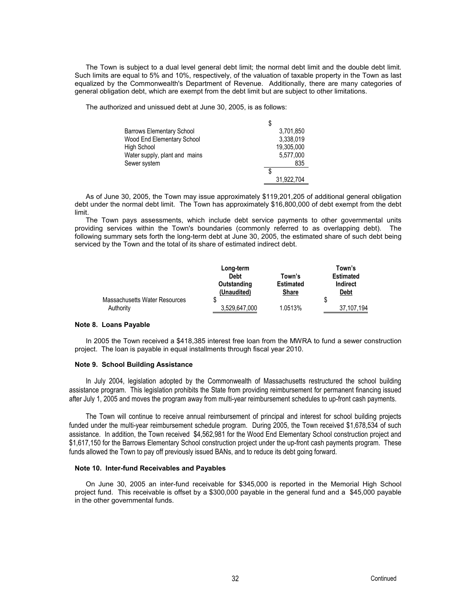The Town is subject to a dual level general debt limit; the normal debt limit and the double debt limit. Such limits are equal to 5% and 10%, respectively, of the valuation of taxable property in the Town as last equalized by the Commonwealth's Department of Revenue. Additionally, there are many categories of general obligation debt, which are exempt from the debt limit but are subject to other limitations.

The authorized and unissued debt at June 30, 2005, is as follows:

| <b>Barrows Elementary School</b> | 3.701.850  |
|----------------------------------|------------|
| Wood End Elementary School       | 3,338,019  |
| High School                      | 19,305,000 |
| Water supply, plant and mains    | 5.577.000  |
| Sewer system                     | 835        |
|                                  |            |
|                                  | 31,922,704 |

As of June 30, 2005, the Town may issue approximately \$119,201,205 of additional general obligation debt under the normal debt limit. The Town has approximately \$16,800,000 of debt exempt from the debt limit.

The Town pays assessments, which include debt service payments to other governmental units providing services within the Town's boundaries (commonly referred to as overlapping debt). The following summary sets forth the long-term debt at June 30, 2005, the estimated share of such debt being serviced by the Town and the total of its share of estimated indirect debt.

|                               | Long-term<br><b>Debt</b> | Town's           | Town's<br><b>Estimated</b> |
|-------------------------------|--------------------------|------------------|----------------------------|
|                               | Outstanding              | <b>Estimated</b> | <b>Indirect</b>            |
|                               | (Unaudited)              | <b>Share</b>     | <u>Debt</u>                |
| Massachusetts Water Resources | S                        | 1.0513%          | \$                         |
| Authority                     | 3.529.647.000            |                  | 37.107.194                 |

#### **Note 8. Loans Payable**

In 2005 the Town received a \$418,385 interest free loan from the MWRA to fund a sewer construction project. The loan is payable in equal installments through fiscal year 2010.

## **Note 9. School Building Assistance**

In July 2004, legislation adopted by the Commonwealth of Massachusetts restructured the school building assistance program. This legislation prohibits the State from providing reimbursement for permanent financing issued after July 1, 2005 and moves the program away from multi-year reimbursement schedules to up-front cash payments.

The Town will continue to receive annual reimbursement of principal and interest for school building projects funded under the multi-year reimbursement schedule program. During 2005, the Town received \$1,678,534 of such assistance. In addition, the Town received \$4,562,981 for the Wood End Elementary School construction project and \$1,617,150 for the Barrows Elementary School construction project under the up-front cash payments program. These funds allowed the Town to pay off previously issued BANs, and to reduce its debt going forward.

#### **Note 10. Inter-fund Receivables and Payables**

On June 30, 2005 an inter-fund receivable for \$345,000 is reported in the Memorial High School project fund. This receivable is offset by a \$300,000 payable in the general fund and a \$45,000 payable in the other governmental funds.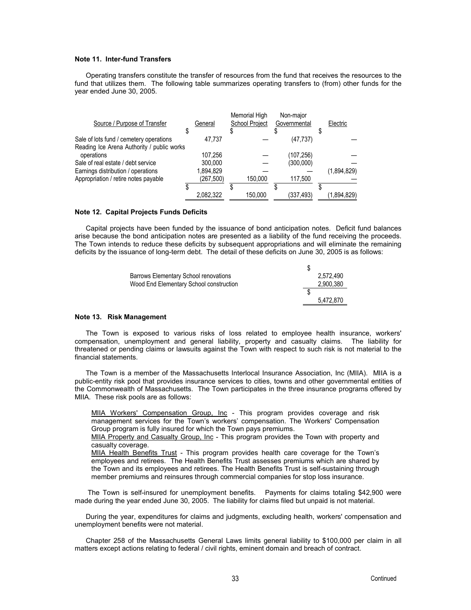## **Note 11. Inter-fund Transfers**

Operating transfers constitute the transfer of resources from the fund that receives the resources to the fund that utilizes them. The following table summarizes operating transfers to (from) other funds for the year ended June 30, 2005.

| General                                    | Memorial High<br>School Project | Non-major<br>Governmental |           | Electric    |
|--------------------------------------------|---------------------------------|---------------------------|-----------|-------------|
|                                            |                                 |                           |           |             |
|                                            |                                 |                           |           |             |
|                                            |                                 |                           |           |             |
| 107.256                                    |                                 | (107, 256)                |           |             |
| 300.000                                    |                                 | (300,000)                 |           |             |
| 1,894,829                                  |                                 |                           |           | (1,894,829) |
| (267, 500)                                 | 150,000                         | 117,500                   |           |             |
|                                            |                                 |                           |           |             |
| 2,082,322                                  | 150,000                         | (337,493)                 |           | (1,894,829) |
| Reading Ice Arena Authority / public works | 47.737                          |                           | (47, 737) |             |

### **Note 12. Capital Projects Funds Deficits**

Capital projects have been funded by the issuance of bond anticipation notes. Deficit fund balances arise because the bond anticipation notes are presented as a liability of the fund receiving the proceeds. The Town intends to reduce these deficits by subsequent appropriations and will eliminate the remaining deficits by the issuance of long-term debt. The detail of these deficits on June 30, 2005 is as follows:

| <b>Barrows Elementary School renovations</b> | 2.572.490 |
|----------------------------------------------|-----------|
| Wood End Elementary School construction      | 2,900,380 |
|                                              |           |
|                                              | 5.472.870 |

#### **Note 13. Risk Management**

The Town is exposed to various risks of loss related to employee health insurance, workers' compensation, unemployment and general liability, property and casualty claims. The liability for threatened or pending claims or lawsuits against the Town with respect to such risk is not material to the financial statements.

The Town is a member of the Massachusetts Interlocal Insurance Association, Inc (MIIA). MIIA is a public-entity risk pool that provides insurance services to cities, towns and other governmental entities of the Commonwealth of Massachusetts. The Town participates in the three insurance programs offered by MIIA. These risk pools are as follows:

MIIA Workers' Compensation Group, Inc - This program provides coverage and risk management services for the Town's workers' compensation. The Workers' Compensation Group program is fully insured for which the Town pays premiums.

MIIA Property and Casualty Group, Inc - This program provides the Town with property and casualty coverage.

MIIA Health Benefits Trust - This program provides health care coverage for the Town's employees and retirees. The Health Benefits Trust assesses premiums which are shared by the Town and its employees and retirees. The Health Benefits Trust is self-sustaining through member premiums and reinsures through commercial companies for stop loss insurance.

 The Town is self-insured for unemployment benefits. Payments for claims totaling \$42,900 were made during the year ended June 30, 2005. The liability for claims filed but unpaid is not material.

During the year, expenditures for claims and judgments, excluding health, workers' compensation and unemployment benefits were not material.

Chapter 258 of the Massachusetts General Laws limits general liability to \$100,000 per claim in all matters except actions relating to federal / civil rights, eminent domain and breach of contract.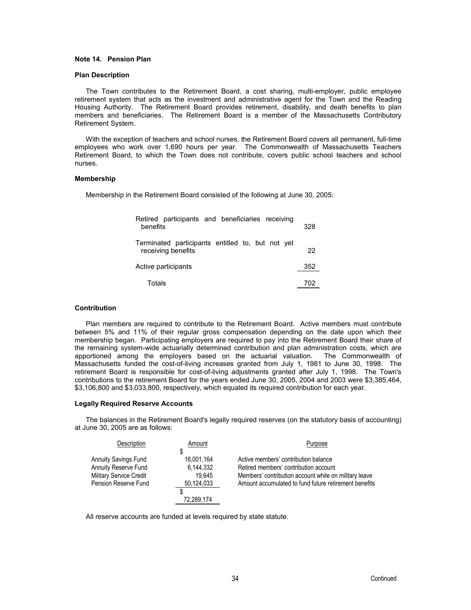## **Note 14. Pension Plan**

#### **Plan Description**

The Town contributes to the Retirement Board, a cost sharing, multi-employer, public employee retirement system that acts as the investment and administrative agent for the Town and the Reading Housing Authority. The Retirement Board provides retirement, disability, and death benefits to plan members and beneficiaries. The Retirement Board is a member of the Massachusetts Contributory Retirement System.

With the exception of teachers and school nurses, the Retirement Board covers all permanent, full-time employees who work over 1,690 hours per year. The Commonwealth of Massachusetts Teachers Retirement Board, to which the Town does not contribute, covers public school teachers and school nurses.

#### **Membership**

Membership in the Retirement Board consisted of the following at June 30, 2005:

| Retired participants and beneficiaries receiving<br>benefits           | 328 |
|------------------------------------------------------------------------|-----|
| Terminated participants entitled to, but not yet<br>receiving benefits | 22  |
| Active participants                                                    | 352 |
| Totals                                                                 | 702 |

#### **Contribution**

Plan members are required to contribute to the Retirement Board. Active members must contribute between 5% and 11% of their regular gross compensation depending on the date upon which their membership began. Participating employers are required to pay into the Retirement Board their share of the remaining system-wide actuarially determined contribution and plan administration costs, which are apportioned among the employers based on the actuarial valuation. The Commonwealth of Massachusetts funded the cost-of-living increases granted from July 1, 1981 to June 30, 1998. The retirement Board is responsible for cost-of-living adjustments granted after July 1, 1998. The Town's contributions to the retirement Board for the years ended June 30, 2005, 2004 and 2003 were \$3,385,464, \$3,106,800 and \$3,033,800, respectively, which equaled its required contribution for each year.

#### **Legally Required Reserve Accounts**

The balances in the Retirement Board's legally required reserves (on the statutory basis of accounting) at June 30, 2005 are as follows:

| Description                    | Amount     | Purpose                                               |
|--------------------------------|------------|-------------------------------------------------------|
|                                |            |                                                       |
| <b>Annuity Savings Fund</b>    | 16,001,164 | Active members' contribution balance                  |
| Annuity Reserve Fund           | 6.144.332  | Retired members' contribution account                 |
| <b>Military Service Credit</b> | 19.645     | Members' contribution account while on military leave |
| Pension Reserve Fund           | 50,124,033 | Amount accumulated to fund future retirement benefits |
|                                |            |                                                       |
|                                | 72.289.174 |                                                       |

All reserve accounts are funded at levels required by state statute.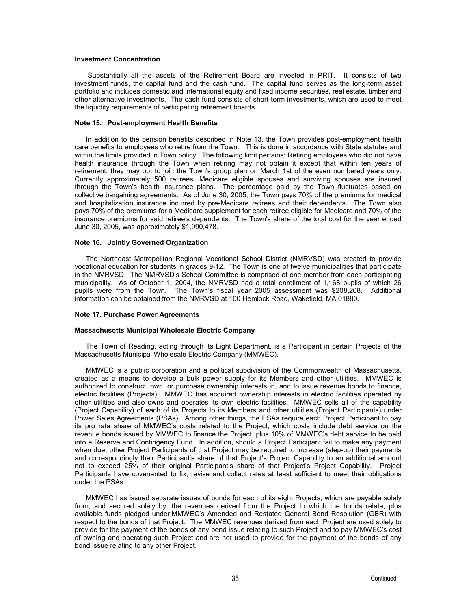#### **Investment Concentration**

 Substantially all the assets of the Retirement Board are invested in PRIT. It consists of two investment funds, the capital fund and the cash fund. The capital fund serves as the long-term asset portfolio and includes domestic and international equity and fixed income securities, real estate, timber and other alternative investments. The cash fund consists of short-term investments, which are used to meet the liquidity requirements of participating retirement boards.

#### **Note 15. Post-employment Health Benefits**

In addition to the pension benefits described in Note 13, the Town provides post-employment health care benefits to employees who retire from the Town. This is done in accordance with State statutes and within the limits provided in Town policy. The following limit pertains: Retiring employees who did not have health insurance through the Town when retiring may not obtain it except that within ten years of retirement, they may opt to join the Town's group plan on March 1st of the even numbered years only. Currently approximately 500 retirees, Medicare eligible spouses and surviving spouses are insured through the Town's health insurance plans. The percentage paid by the Town fluctuates based on collective bargaining agreements. As of June 30, 2005, the Town pays 70% of the premiums for medical and hospitalization insurance incurred by pre-Medicare retirees and their dependents. The Town also pays 70% of the premiums for a Medicare supplement for each retiree eligible for Medicare and 70% of the insurance premiums for said retiree's dependents. The Town's share of the total cost for the year ended June 30, 2005, was approximately \$1,990,478.

## **Note 16. Jointly Governed Organization**

The Northeast Metropolitan Regional Vocational School District (NMRVSD) was created to provide vocational education for students in grades 9-12. The Town is one of twelve municipalities that participate in the NMRVSD. The NMRVSD's School Committee is comprised of one member from each participating municipality. As of October 1, 2004, the NMRVSD had a total enrollment of 1,168 pupils of which 26 pupils were from the Town. The Town's fiscal year 2005 assessment was \$208,208. Additional information can be obtained from the NMRVSD at 100 Hemlock Road, Wakefield, MA 01880.

#### **Note 17. Purchase Power Agreements**

### **Massachusetts Municipal Wholesale Electric Company**

The Town of Reading, acting through its Light Department, is a Participant in certain Projects of the Massachusetts Municipal Wholesale Electric Company (MMWEC).

MMWEC is a public corporation and a political subdivision of the Commonwealth of Massachusetts, created as a means to develop a bulk power supply for its Members and other utilities. MMWEC is authorized to construct, own, or purchase ownership interests in, and to issue revenue bonds to finance, electric facilities (Projects). MMWEC has acquired ownership interests in electric facilities operated by other utilities and also owns and operates its own electric facilities. MMWEC sells all of the capability (Project Capability) of each of its Projects to its Members and other utilities (Project Participants) under Power Sales Agreements (PSAs). Among other things, the PSAs require each Project Participant to pay its pro rata share of MMWEC's costs related to the Project, which costs include debt service on the revenue bonds issued by MMWEC to finance the Project, plus 10% of MMWEC's debt service to be paid into a Reserve and Contingency Fund. In addition, should a Project Participant fail to make any payment when due, other Project Participants of that Project may be required to increase (step-up) their payments and correspondingly their Participant's share of that Project's Project Capability to an additional amount not to exceed 25% of their original Participant's share of that Project's Project Capability. Project Participants have covenanted to fix, revise and collect rates at least sufficient to meet their obligations under the PSAs.

MMWEC has issued separate issues of bonds for each of its eight Projects, which are payable solely from, and secured solely by, the revenues derived from the Project to which the bonds relate, plus available funds pledged under MMWEC's Amended and Restated General Bond Resolution (GBR) with respect to the bonds of that Project. The MMWEC revenues derived from each Project are used solely to provide for the payment of the bonds of any bond issue relating to such Project and to pay MMWEC's cost of owning and operating such Project and are not used to provide for the payment of the bonds of any bond issue relating to any other Project.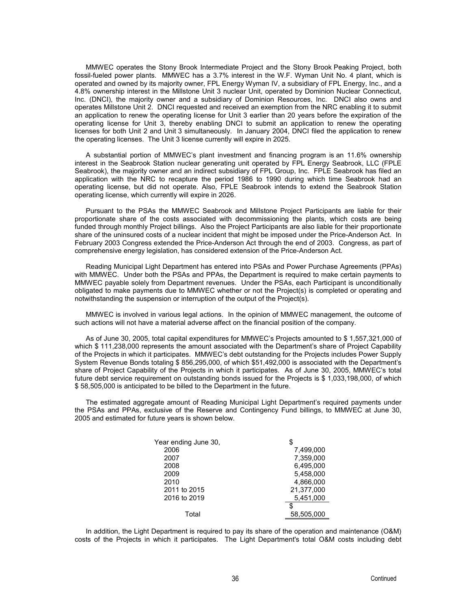MMWEC operates the Stony Brook Intermediate Project and the Stony Brook Peaking Project, both fossil-fueled power plants. MMWEC has a 3.7% interest in the W.F. Wyman Unit No. 4 plant, which is operated and owned by its majority owner, FPL Energy Wyman IV, a subsidiary of FPL Energy, Inc., and a 4.8% ownership interest in the Millstone Unit 3 nuclear Unit, operated by Dominion Nuclear Connecticut, Inc. (DNCI), the majority owner and a subsidiary of Dominion Resources, Inc. DNCI also owns and operates Millstone Unit 2. DNCI requested and received an exemption from the NRC enabling it to submit an application to renew the operating license for Unit 3 earlier than 20 years before the expiration of the operating license for Unit 3, thereby enabling DNCI to submit an application to renew the operating licenses for both Unit 2 and Unit 3 simultaneously. In January 2004, DNCI filed the application to renew the operating licenses. The Unit 3 license currently will expire in 2025.

A substantial portion of MMWEC's plant investment and financing program is an 11.6% ownership interest in the Seabrook Station nuclear generating unit operated by FPL Energy Seabrook, LLC (FPLE Seabrook), the majority owner and an indirect subsidiary of FPL Group, Inc. FPLE Seabrook has filed an application with the NRC to recapture the period 1986 to 1990 during which time Seabrook had an operating license, but did not operate. Also, FPLE Seabrook intends to extend the Seabrook Station operating license, which currently will expire in 2026.

Pursuant to the PSAs the MMWEC Seabrook and Millstone Project Participants are liable for their proportionate share of the costs associated with decommissioning the plants, which costs are being funded through monthly Project billings. Also the Project Participants are also liable for their proportionate share of the uninsured costs of a nuclear incident that might be imposed under the Price-Anderson Act. In February 2003 Congress extended the Price-Anderson Act through the end of 2003. Congress, as part of comprehensive energy legislation, has considered extension of the Price-Anderson Act.

Reading Municipal Light Department has entered into PSAs and Power Purchase Agreements (PPAs) with MMWEC. Under both the PSAs and PPAs, the Department is required to make certain payments to MMWEC payable solely from Department revenues. Under the PSAs, each Participant is unconditionally obligated to make payments due to MMWEC whether or not the Project(s) is completed or operating and notwithstanding the suspension or interruption of the output of the Project(s).

MMWEC is involved in various legal actions. In the opinion of MMWEC management, the outcome of such actions will not have a material adverse affect on the financial position of the company.

As of June 30, 2005, total capital expenditures for MMWEC's Projects amounted to \$ 1,557,321,000 of which \$111,238,000 represents the amount associated with the Department's share of Project Capability of the Projects in which it participates. MMWEC's debt outstanding for the Projects includes Power Supply System Revenue Bonds totaling \$ 856,295,000, of which \$51,492,000 is associated with the Department's share of Project Capability of the Projects in which it participates. As of June 30, 2005, MMWEC's total future debt service requirement on outstanding bonds issued for the Projects is \$ 1,033,198,000, of which \$ 58,505,000 is anticipated to be billed to the Department in the future.

The estimated aggregate amount of Reading Municipal Light Department's required payments under the PSAs and PPAs, exclusive of the Reserve and Contingency Fund billings, to MMWEC at June 30, 2005 and estimated for future years is shown below.

| Year ending June 30, | \$         |
|----------------------|------------|
| 2006                 | 7,499,000  |
| 2007                 | 7,359,000  |
| 2008                 | 6,495,000  |
| 2009                 | 5,458,000  |
| 2010                 | 4,866,000  |
| 2011 to 2015         | 21,377,000 |
| 2016 to 2019         | 5,451,000  |
|                      | S          |
| Total                | 58,505,000 |

In addition, the Light Department is required to pay its share of the operation and maintenance (O&M) costs of the Projects in which it participates. The Light Department's total O&M costs including debt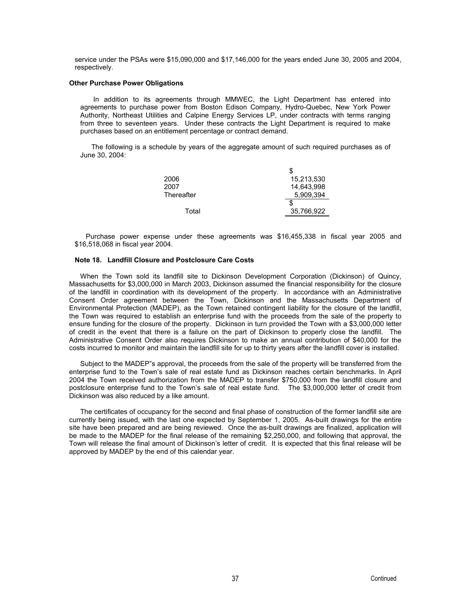service under the PSAs were \$15,090,000 and \$17,146,000 for the years ended June 30, 2005 and 2004, respectively.

#### **Other Purchase Power Obligations**

 In addition to its agreements through MMWEC, the Light Department has entered into agreements to purchase power from Boston Edison Company, Hydro-Quebec, New York Power Authority, Northeast Utilities and Calpine Energy Services LP, under contracts with terms ranging from three to seventeen years. Under these contracts the Light Department is required to make purchases based on an entitlement percentage or contract demand.

The following is a schedule by years of the aggregate amount of such required purchases as of June 30, 2004:

|            | \$         |
|------------|------------|
| 2006       | 15,213,530 |
| 2007       | 14,643,998 |
| Thereafter | 5,909,394  |
|            | S          |
| Total      | 35,766,922 |

Purchase power expense under these agreements was \$16,455,338 in fiscal year 2005 and \$16,518,068 in fiscal year 2004.

#### **Note 18. Landfill Closure and Postclosure Care Costs**

When the Town sold its landfill site to Dickinson Development Corporation (Dickinson) of Quincy, Massachusetts for \$3,000,000 in March 2003, Dickinson assumed the financial responsibility for the closure of the landfill in coordination with its development of the property. In accordance with an Administrative Consent Order agreement between the Town, Dickinson and the Massachusetts Department of Environmental Protection (MADEP), as the Town retained contingent liability for the closure of the landfill, the Town was required to establish an enterprise fund with the proceeds from the sale of the property to ensure funding for the closure of the property. Dickinson in turn provided the Town with a \$3,000,000 letter of credit in the event that there is a failure on the part of Dickinson to properly close the landfill. The Administrative Consent Order also requires Dickinson to make an annual contribution of \$40,000 for the costs incurred to monitor and maintain the landfill site for up to thirty years after the landfill cover is installed.

Subject to the MADEP"s approval, the proceeds from the sale of the property will be transferred from the enterprise fund to the Town's sale of real estate fund as Dickinson reaches certain benchmarks. In April 2004 the Town received authorization from the MADEP to transfer \$750,000 from the landfill closure and postclosure enterprise fund to the Town's sale of real estate fund. The \$3,000,000 letter of credit from Dickinson was also reduced by a like amount.

The certificates of occupancy for the second and final phase of construction of the former landfill site are currently being issued, with the last one expected by September 1, 2005. As-built drawings for the entire site have been prepared and are being reviewed. Once the as-built drawings are finalized, application will be made to the MADEP for the final release of the remaining \$2,250,000, and following that approval, the Town will release the final amount of Dickinson's letter of credit. It is expected that this final release will be approved by MADEP by the end of this calendar year.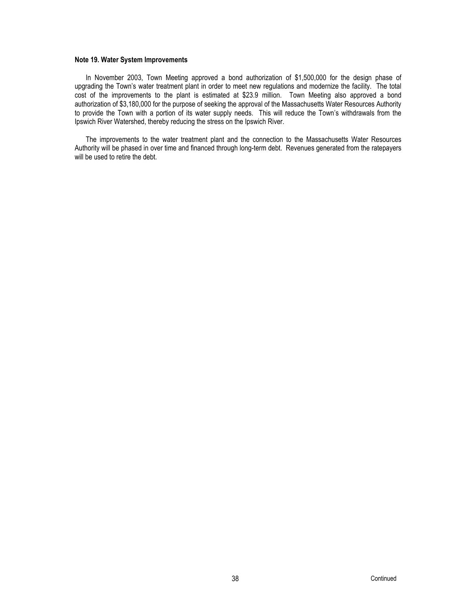## **Note 19. Water System Improvements**

In November 2003, Town Meeting approved a bond authorization of \$1,500,000 for the design phase of upgrading the Town's water treatment plant in order to meet new regulations and modernize the facility. The total cost of the improvements to the plant is estimated at \$23.9 million. Town Meeting also approved a bond authorization of \$3,180,000 for the purpose of seeking the approval of the Massachusetts Water Resources Authority to provide the Town with a portion of its water supply needs. This will reduce the Town's withdrawals from the Ipswich River Watershed, thereby reducing the stress on the Ipswich River.

The improvements to the water treatment plant and the connection to the Massachusetts Water Resources Authority will be phased in over time and financed through long-term debt. Revenues generated from the ratepayers will be used to retire the debt.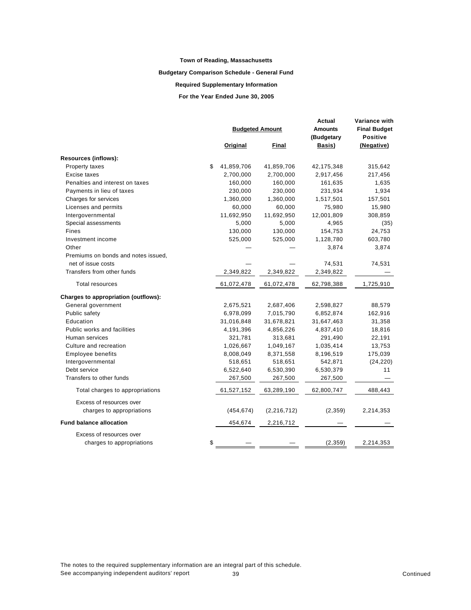## **Budgetary Comparison Schedule - General Fund**

## **Required Supplementary Information**

**For the Year Ended June 30, 2005**

|                                      | <b>Budgeted Amount</b> |               | Actual<br><b>Amounts</b><br>(Budgetary | Variance with<br><b>Final Budget</b><br><b>Positive</b> |  |
|--------------------------------------|------------------------|---------------|----------------------------------------|---------------------------------------------------------|--|
|                                      | Original               | Final         | Basis)                                 | (Negative)                                              |  |
| Resources (inflows):                 |                        |               |                                        |                                                         |  |
| Property taxes                       | \$<br>41,859,706       | 41,859,706    | 42,175,348                             | 315,642                                                 |  |
| Excise taxes                         | 2,700,000              | 2,700,000     | 2,917,456                              | 217,456                                                 |  |
| Penalties and interest on taxes      | 160,000                | 160,000       | 161,635                                | 1,635                                                   |  |
| Payments in lieu of taxes            | 230,000                | 230,000       | 231,934                                | 1,934                                                   |  |
| Charges for services                 | 1,360,000              | 1,360,000     | 1,517,501                              | 157,501                                                 |  |
| Licenses and permits                 | 60,000                 | 60,000        | 75,980                                 | 15,980                                                  |  |
| Intergovernmental                    | 11,692,950             | 11,692,950    | 12,001,809                             | 308,859                                                 |  |
| Special assessments                  | 5,000                  | 5,000         | 4,965                                  | (35)                                                    |  |
| Fines                                | 130,000                | 130,000       | 154,753                                | 24,753                                                  |  |
| Investment income                    | 525,000                | 525,000       | 1,128,780                              | 603,780                                                 |  |
| Other                                |                        |               | 3,874                                  | 3,874                                                   |  |
| Premiums on bonds and notes issued,  |                        |               |                                        |                                                         |  |
| net of issue costs                   |                        |               | 74,531                                 | 74,531                                                  |  |
| Transfers from other funds           | 2,349,822              | 2,349,822     | 2,349,822                              |                                                         |  |
| <b>Total resources</b>               | 61,072,478             | 61,072,478    | 62,798,388                             | 1,725,910                                               |  |
| Charges to appropriation (outflows): |                        |               |                                        |                                                         |  |
| General government                   | 2,675,521              | 2,687,406     | 2,598,827                              | 88,579                                                  |  |
| Public safety                        | 6,978,099              | 7,015,790     | 6,852,874                              | 162,916                                                 |  |
| Education                            | 31,016,848             | 31,678,821    | 31,647,463                             | 31,358                                                  |  |
| Public works and facilities          | 4,191,396              | 4,856,226     | 4,837,410                              | 18,816                                                  |  |
| Human services                       | 321,781                | 313,681       | 291,490                                | 22,191                                                  |  |
| Culture and recreation               | 1,026,667              | 1,049,167     | 1,035,414                              | 13,753                                                  |  |
| <b>Employee benefits</b>             | 8,008,049              | 8,371,558     | 8,196,519                              | 175,039                                                 |  |
| Intergovernmental                    | 518,651                | 518,651       | 542,871                                | (24, 220)                                               |  |
| Debt service                         | 6,522,640              | 6,530,390     | 6,530,379                              | 11                                                      |  |
| Transfers to other funds             | 267,500                | 267,500       | 267,500                                |                                                         |  |
| Total charges to appropriations      | 61,527,152             | 63,289,190    | 62,800,747                             | 488,443                                                 |  |
| Excess of resources over             |                        |               |                                        |                                                         |  |
| charges to appropriations            | (454, 674)             | (2, 216, 712) | (2, 359)                               | 2,214,353                                               |  |
| <b>Fund balance allocation</b>       | 454,674                | 2,216,712     |                                        |                                                         |  |
| Excess of resources over             |                        |               |                                        |                                                         |  |
| charges to appropriations            | \$                     |               | (2, 359)                               | 2,214,353                                               |  |

The notes to the required supplementary information are an integral part of this schedule. See accompanying independent auditors' report 39 See accompanying independent auditors' report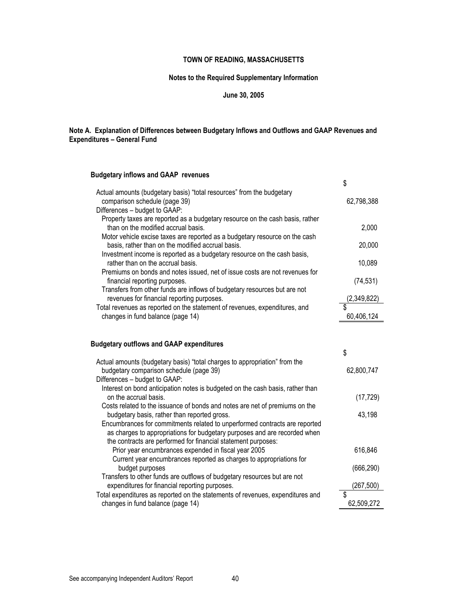## **Notes to the Required Supplementary Information**

## **June 30, 2005**

## **Note A. Explanation of Differences between Budgetary Inflows and Outflows and GAAP Revenues and Expenditures – General Fund**

## **Budgetary inflows and GAAP revenues**

|                                            |                                                                                                                                  | \$          |
|--------------------------------------------|----------------------------------------------------------------------------------------------------------------------------------|-------------|
| comparison schedule (page 39)              | Actual amounts (budgetary basis) "total resources" from the budgetary                                                            | 62,798,388  |
| Differences - budget to GAAP:              |                                                                                                                                  |             |
| than on the modified accrual basis.        | Property taxes are reported as a budgetary resource on the cash basis, rather                                                    | 2,000       |
|                                            | Motor vehicle excise taxes are reported as a budgetary resource on the cash<br>basis, rather than on the modified accrual basis. | 20,000      |
| rather than on the accrual basis.          | Investment income is reported as a budgetary resource on the cash basis,                                                         | 10,089      |
| financial reporting purposes.              | Premiums on bonds and notes issued, net of issue costs are not revenues for                                                      | (74, 531)   |
| revenues for financial reporting purposes. | Transfers from other funds are inflows of budgetary resources but are not                                                        | (2,349,822) |
|                                            | Total revenues as reported on the statement of revenues, expenditures, and                                                       | \$          |
| changes in fund balance (page 14)          |                                                                                                                                  | 60,406,124  |

## **Budgetary outflows and GAAP expenditures**

|                                                                                                                                                         | \$         |
|---------------------------------------------------------------------------------------------------------------------------------------------------------|------------|
| Actual amounts (budgetary basis) "total charges to appropriation" from the<br>budgetary comparison schedule (page 39)                                   | 62,800,747 |
| Differences - budget to GAAP:                                                                                                                           |            |
| Interest on bond anticipation notes is budgeted on the cash basis, rather than<br>on the accrual basis.                                                 | (17, 729)  |
| Costs related to the issuance of bonds and notes are net of premiums on the<br>budgetary basis, rather than reported gross.                             | 43,198     |
| Encumbrances for commitments related to unperformed contracts are reported<br>as charges to appropriations for budgetary purposes and are recorded when |            |
| the contracts are performed for financial statement purposes:                                                                                           |            |
| Prior year encumbrances expended in fiscal year 2005                                                                                                    | 616,846    |
| Current year encumbrances reported as charges to appropriations for                                                                                     |            |
| budget purposes                                                                                                                                         | (666, 290) |
| Transfers to other funds are outflows of budgetary resources but are not                                                                                |            |
| expenditures for financial reporting purposes.                                                                                                          | (267, 500) |
| Total expenditures as reported on the statements of revenues, expenditures and                                                                          | \$         |
| changes in fund balance (page 14)                                                                                                                       | 62,509,272 |
|                                                                                                                                                         |            |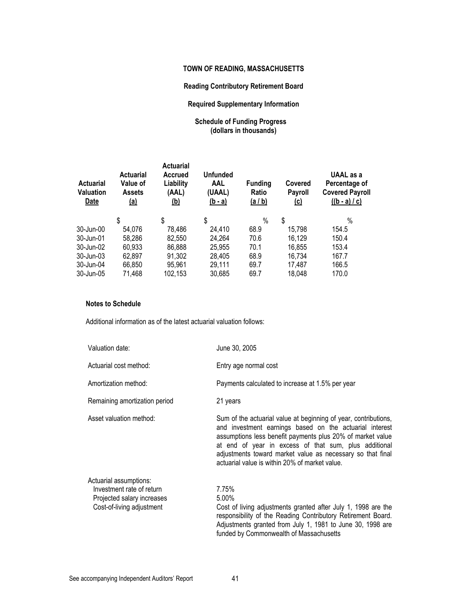## **Reading Contributory Retirement Board**

## **Required Supplementary Information**

## **Schedule of Funding Progress (dollars in thousands)**

| <b>Actuarial</b><br><b>Valuation</b><br><b>Date</b> | <b>Actuarial</b><br>Value of<br><b>Assets</b><br><u>(a)</u> | <b>Actuarial</b><br>Accrued<br>Liability<br>(AAL)<br><u>(b)</u> | <b>Unfunded</b><br><b>AAL</b><br>(UAAL)<br><u>(b - a)</u> | <b>Funding</b><br>Ratio<br><u>(a / b)</u> | Covered<br><b>Payroll</b><br><u>(c)</u> | UAAL as a<br>Percentage of<br><b>Covered Payroll</b><br>$((b - a)/c)$ |
|-----------------------------------------------------|-------------------------------------------------------------|-----------------------------------------------------------------|-----------------------------------------------------------|-------------------------------------------|-----------------------------------------|-----------------------------------------------------------------------|
|                                                     | \$                                                          | \$                                                              | \$                                                        | $\%$                                      | \$                                      | $\%$                                                                  |
| 30-Jun-00                                           | 54,076                                                      | 78,486                                                          | 24,410                                                    | 68.9                                      | 15,798                                  | 154.5                                                                 |
| 30-Jun-01                                           | 58,286                                                      | 82,550                                                          | 24,264                                                    | 70.6                                      | 16,129                                  | 150.4                                                                 |
| 30-Jun-02                                           | 60,933                                                      | 86,888                                                          | 25,955                                                    | 70.1                                      | 16,855                                  | 153.4                                                                 |
| 30-Jun-03                                           | 62,897                                                      | 91,302                                                          | 28,405                                                    | 68.9                                      | 16,734                                  | 167.7                                                                 |
| 30-Jun-04                                           | 66,850                                                      | 95,961                                                          | 29,111                                                    | 69.7                                      | 17,487                                  | 166.5                                                                 |
| 30-Jun-05                                           | 71,468                                                      | 102,153                                                         | 30,685                                                    | 69.7                                      | 18,048                                  | 170.0                                                                 |

## **Notes to Schedule**

Additional information as of the latest actuarial valuation follows:

| Valuation date:                                                                                                | June 30, 2005                                                                                                                                                                                                                                                                                                                                                     |
|----------------------------------------------------------------------------------------------------------------|-------------------------------------------------------------------------------------------------------------------------------------------------------------------------------------------------------------------------------------------------------------------------------------------------------------------------------------------------------------------|
| Actuarial cost method:                                                                                         | Entry age normal cost                                                                                                                                                                                                                                                                                                                                             |
| Amortization method:                                                                                           | Payments calculated to increase at 1.5% per year                                                                                                                                                                                                                                                                                                                  |
| Remaining amortization period                                                                                  | 21 years                                                                                                                                                                                                                                                                                                                                                          |
| Asset valuation method:                                                                                        | Sum of the actuarial value at beginning of year, contributions,<br>and investment earnings based on the actuarial interest<br>assumptions less benefit payments plus 20% of market value<br>at end of year in excess of that sum, plus additional<br>adjustments toward market value as necessary so that final<br>actuarial value is within 20% of market value. |
| Actuarial assumptions:<br>Investment rate of return<br>Projected salary increases<br>Cost-of-living adjustment | 7.75%<br>5.00%<br>Cost of living adjustments granted after July 1, 1998 are the<br>responsibility of the Reading Contributory Retirement Board.<br>Adjustments granted from July 1, 1981 to June 30, 1998 are<br>funded by Commonwealth of Massachusetts                                                                                                          |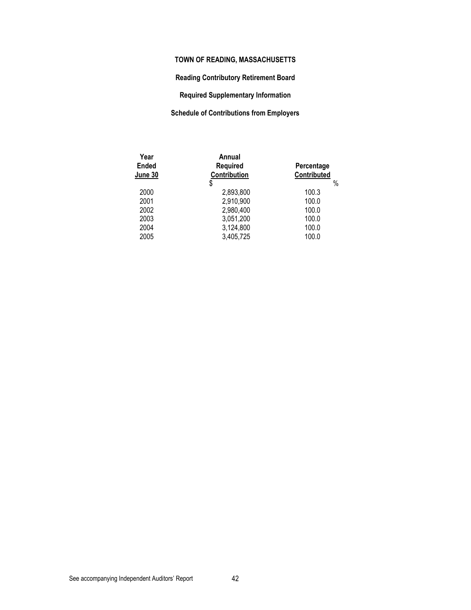## **Reading Contributory Retirement Board**

**Required Supplementary Information** 

## **Schedule of Contributions from Employers**

| Year<br><b>Ended</b><br>June 30 | Annual<br><b>Required</b><br>Contribution | Percentage<br>Contributed |
|---------------------------------|-------------------------------------------|---------------------------|
|                                 | \$                                        | $\%$                      |
| 2000                            | 2,893,800                                 | 100.3                     |
| 2001                            | 2,910,900                                 | 100.0                     |
| 2002                            | 2,980,400                                 | 100.0                     |
| 2003                            | 3,051,200                                 | 100.0                     |
| 2004                            | 3,124,800                                 | 100.0                     |
| 2005                            | 3,405,725                                 | 100.0                     |
|                                 |                                           |                           |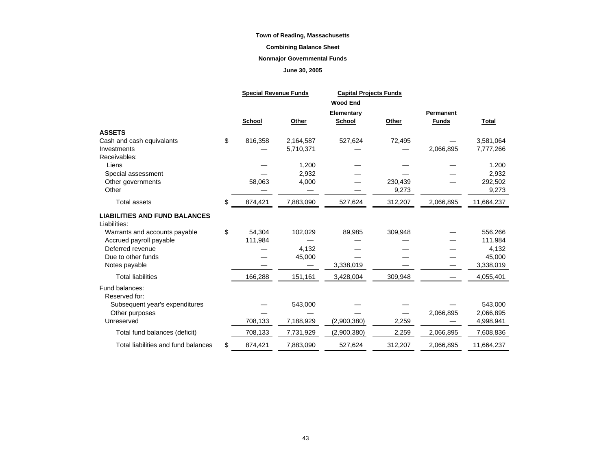## **Combining Balance Sheet**

### **Nonmajor Governmental Funds**

## **June 30, 2005**

|                                      |    | <b>Special Revenue Funds</b> |           |                 | <b>Capital Projects Funds</b> |              |              |
|--------------------------------------|----|------------------------------|-----------|-----------------|-------------------------------|--------------|--------------|
|                                      |    |                              |           | <b>Wood End</b> |                               |              |              |
|                                      |    |                              |           | Elementary      |                               | Permanent    |              |
|                                      |    | School                       | Other     | School          | Other                         | <b>Funds</b> | <b>Total</b> |
| <b>ASSETS</b>                        |    |                              |           |                 |                               |              |              |
| Cash and cash equivalants            | \$ | 816,358                      | 2,164,587 | 527,624         | 72,495                        |              | 3,581,064    |
| Investments                          |    |                              | 5,710,371 |                 |                               | 2,066,895    | 7,777,266    |
| Receivables:                         |    |                              |           |                 |                               |              |              |
| Liens                                |    |                              | 1,200     |                 |                               |              | 1,200        |
| Special assessment                   |    |                              | 2,932     |                 |                               |              | 2,932        |
| Other governments                    |    | 58,063                       | 4,000     |                 | 230,439                       |              | 292,502      |
| Other                                |    |                              |           |                 | 9,273                         |              | 9,273        |
| <b>Total assets</b>                  | \$ | 874,421                      | 7,883,090 | 527,624         | 312,207                       | 2,066,895    | 11,664,237   |
| <b>LIABILITIES AND FUND BALANCES</b> |    |                              |           |                 |                               |              |              |
| Liabilities:                         |    |                              |           |                 |                               |              |              |
| Warrants and accounts payable        | \$ | 54,304                       | 102,029   | 89,985          | 309,948                       |              | 556,266      |
| Accrued payroll payable              |    | 111,984                      |           |                 |                               |              | 111,984      |
| Deferred revenue                     |    |                              | 4,132     |                 |                               |              | 4,132        |
| Due to other funds                   |    |                              | 45,000    |                 |                               |              | 45,000       |
| Notes payable                        |    |                              |           | 3,338,019       |                               |              | 3,338,019    |
| <b>Total liabilities</b>             |    | 166,288                      | 151,161   | 3,428,004       | 309,948                       |              | 4,055,401    |
| Fund balances:                       |    |                              |           |                 |                               |              |              |
| Reserved for:                        |    |                              |           |                 |                               |              |              |
| Subsequent year's expenditures       |    |                              | 543,000   |                 |                               |              | 543,000      |
| Other purposes                       |    |                              |           |                 |                               | 2,066,895    | 2,066,895    |
| Unreserved                           |    | 708,133                      | 7,188,929 | (2,900,380)     | 2,259                         |              | 4,998,941    |
| Total fund balances (deficit)        |    | 708,133                      | 7,731,929 | (2,900,380)     | 2,259                         | 2,066,895    | 7,608,836    |
| Total liabilities and fund balances  | S  | 874,421                      | 7,883,090 | 527,624         | 312,207                       | 2,066,895    | 11,664,237   |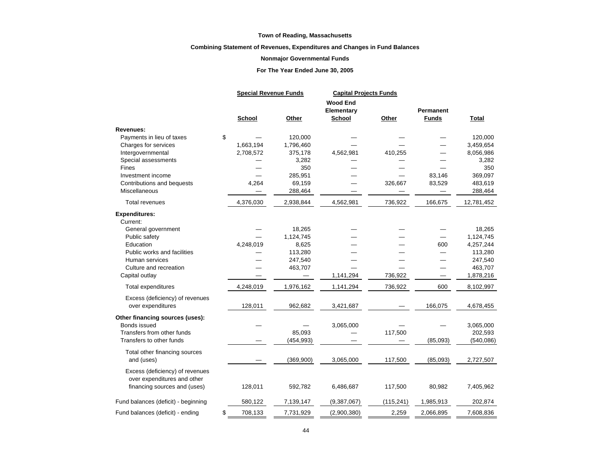### **Combining Statement of Revenues, Expenditures and Changes in Fund Balances**

#### **Nonmajor Governmental Funds**

### **For The Year Ended June 30, 2005**

|                                                                | <b>Special Revenue Funds</b> |            | <b>Capital Projects Funds</b><br><b>Wood End</b><br>Elementary |            | Permanent |              |  |
|----------------------------------------------------------------|------------------------------|------------|----------------------------------------------------------------|------------|-----------|--------------|--|
|                                                                | School                       | Other      | School                                                         | Other      | Funds     | <b>Total</b> |  |
| <b>Revenues:</b>                                               |                              |            |                                                                |            |           |              |  |
| \$<br>Payments in lieu of taxes                                |                              | 120,000    |                                                                |            |           | 120,000      |  |
| Charges for services                                           | 1,663,194                    | 1,796,460  |                                                                |            |           | 3,459,654    |  |
| Intergovernmental                                              | 2,708,572                    | 375,178    | 4,562,981                                                      | 410,255    |           | 8,056,986    |  |
| Special assessments                                            |                              | 3,282      |                                                                |            |           | 3,282        |  |
| Fines                                                          |                              | 350        |                                                                |            |           | 350          |  |
| Investment income                                              |                              | 285,951    |                                                                |            | 83,146    | 369,097      |  |
| Contributions and bequests                                     | 4,264                        | 69,159     |                                                                | 326,667    | 83,529    | 483,619      |  |
| Miscellaneous                                                  |                              | 288,464    |                                                                |            |           | 288,464      |  |
| <b>Total revenues</b>                                          | 4,376,030                    | 2,938,844  | 4,562,981                                                      | 736,922    | 166,675   | 12,781,452   |  |
| <b>Expenditures:</b>                                           |                              |            |                                                                |            |           |              |  |
| Current:                                                       |                              |            |                                                                |            |           |              |  |
| General government                                             |                              | 18,265     |                                                                |            |           | 18,265       |  |
| Public safety                                                  |                              | 1,124,745  |                                                                |            |           | 1,124,745    |  |
| Education                                                      | 4,248,019                    | 8,625      |                                                                |            | 600       | 4,257,244    |  |
| Public works and facilities                                    |                              | 113,280    |                                                                |            |           | 113,280      |  |
| Human services                                                 |                              | 247,540    |                                                                |            |           | 247,540      |  |
| Culture and recreation                                         |                              | 463,707    |                                                                |            |           | 463,707      |  |
| Capital outlay                                                 |                              |            | 1,141,294                                                      | 736,922    |           | 1,878,216    |  |
| <b>Total expenditures</b>                                      | 4,248,019                    | 1,976,162  | 1,141,294                                                      | 736,922    | 600       | 8,102,997    |  |
| Excess (deficiency) of revenues                                |                              |            |                                                                |            |           |              |  |
| over expenditures                                              | 128,011                      | 962,682    | 3,421,687                                                      |            | 166,075   | 4,678,455    |  |
| Other financing sources (uses):                                |                              |            |                                                                |            |           |              |  |
| Bonds issued                                                   |                              |            | 3,065,000                                                      |            |           | 3,065,000    |  |
| Transfers from other funds                                     |                              | 85,093     |                                                                | 117,500    |           | 202,593      |  |
| Transfers to other funds                                       |                              | (454, 993) |                                                                |            | (85,093)  | (540, 086)   |  |
| Total other financing sources                                  |                              |            |                                                                |            |           |              |  |
| and (uses)                                                     |                              | (369,900)  | 3,065,000                                                      | 117,500    | (85,093)  | 2,727,507    |  |
| Excess (deficiency) of revenues<br>over expenditures and other |                              |            |                                                                |            |           |              |  |
| financing sources and (uses)                                   | 128,011                      | 592,782    | 6,486,687                                                      | 117,500    | 80,982    | 7,405,962    |  |
| Fund balances (deficit) - beginning                            | 580,122                      | 7,139,147  | (9,387,067)                                                    | (115, 241) | 1,985,913 | 202,874      |  |
| \$<br>Fund balances (deficit) - ending                         | 708,133                      | 7,731,929  | (2,900,380)                                                    | 2,259      | 2,066,895 | 7,608,836    |  |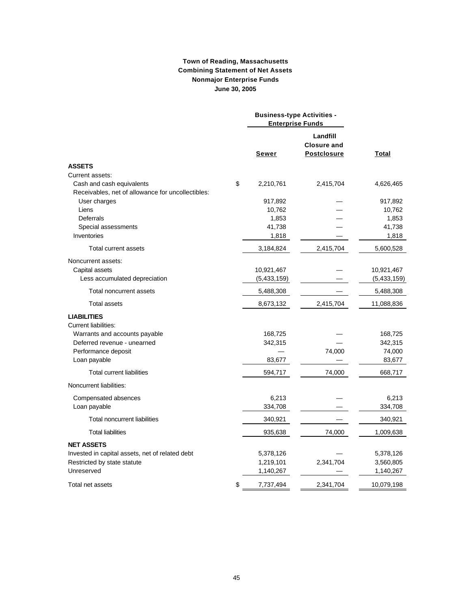## **Town of Reading, Massachusetts Combining Statement of Net Assets Nonmajor Enterprise Funds June 30, 2005**

|                                                   | <b>Business-type Activities -</b><br><b>Enterprise Funds</b> |                                                      |             |
|---------------------------------------------------|--------------------------------------------------------------|------------------------------------------------------|-------------|
|                                                   | Sewer                                                        | Landfill<br><b>Closure and</b><br><b>Postclosure</b> | Total       |
| <b>ASSETS</b>                                     |                                                              |                                                      |             |
| Current assets:                                   |                                                              |                                                      |             |
| Cash and cash equivalents                         | \$<br>2,210,761                                              | 2,415,704                                            | 4,626,465   |
| Receivables, net of allowance for uncollectibles: |                                                              |                                                      |             |
| User charges                                      | 917,892                                                      |                                                      | 917,892     |
| Liens                                             | 10,762                                                       |                                                      | 10,762      |
| Deferrals                                         | 1,853                                                        |                                                      | 1,853       |
| Special assessments                               | 41,738                                                       |                                                      | 41,738      |
| Inventories                                       | 1,818                                                        |                                                      | 1,818       |
| Total current assets                              | 3,184,824                                                    | 2,415,704                                            | 5,600,528   |
| Noncurrent assets:                                |                                                              |                                                      |             |
| Capital assets                                    | 10,921,467                                                   |                                                      | 10,921,467  |
| Less accumulated depreciation                     | (5,433,159)                                                  |                                                      | (5,433,159) |
| Total noncurrent assets                           | 5,488,308                                                    |                                                      | 5,488,308   |
| <b>Total assets</b>                               | 8,673,132                                                    | 2,415,704                                            | 11,088,836  |
| <b>LIABILITIES</b>                                |                                                              |                                                      |             |
| <b>Current liabilities:</b>                       |                                                              |                                                      |             |
| Warrants and accounts payable                     | 168,725                                                      |                                                      | 168,725     |
| Deferred revenue - unearned                       | 342,315                                                      |                                                      | 342,315     |
| Performance deposit                               |                                                              | 74,000                                               | 74,000      |
| Loan payable                                      | 83,677                                                       |                                                      | 83,677      |
| <b>Total current liabilities</b>                  | 594,717                                                      | 74,000                                               | 668,717     |
| Noncurrent liabilities:                           |                                                              |                                                      |             |
| Compensated absences                              | 6,213                                                        |                                                      | 6,213       |
| Loan payable                                      | 334,708                                                      |                                                      | 334,708     |
| Total noncurrent liabilities                      | 340,921                                                      |                                                      | 340,921     |
| <b>Total liabilities</b>                          | 935,638                                                      | 74,000                                               | 1,009,638   |
| <b>NET ASSETS</b>                                 |                                                              |                                                      |             |
| Invested in capital assets, net of related debt   | 5,378,126                                                    |                                                      | 5,378,126   |
| Restricted by state statute                       | 1,219,101                                                    | 2,341,704                                            | 3,560,805   |
| Unreserved                                        | 1,140,267                                                    |                                                      | 1,140,267   |
| Total net assets                                  | \$<br>7,737,494                                              | 2,341,704                                            | 10,079,198  |
|                                                   |                                                              |                                                      |             |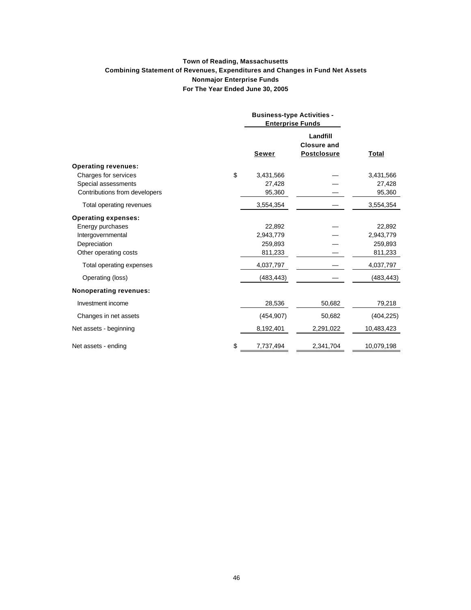## **Town of Reading, Massachusetts Combining Statement of Revenues, Expenditures and Changes in Fund Net Assets Nonmajor Enterprise Funds For The Year Ended June 30, 2005**

|                               | <b>Business-type Activities -</b><br><b>Enterprise Funds</b> |                                                      |            |
|-------------------------------|--------------------------------------------------------------|------------------------------------------------------|------------|
|                               | Sewer                                                        | Landfill<br><b>Closure and</b><br><b>Postclosure</b> | Total      |
| <b>Operating revenues:</b>    |                                                              |                                                      |            |
| Charges for services          | \$<br>3,431,566                                              |                                                      | 3,431,566  |
| Special assessments           | 27,428                                                       |                                                      | 27,428     |
| Contributions from developers | 95,360                                                       |                                                      | 95,360     |
| Total operating revenues      | 3,554,354                                                    |                                                      | 3,554,354  |
| <b>Operating expenses:</b>    |                                                              |                                                      |            |
| Energy purchases              | 22,892                                                       |                                                      | 22,892     |
| Intergovernmental             | 2,943,779                                                    |                                                      | 2,943,779  |
| Depreciation                  | 259,893                                                      |                                                      | 259,893    |
| Other operating costs         | 811,233                                                      |                                                      | 811,233    |
| Total operating expenses      | 4,037,797                                                    |                                                      | 4,037,797  |
| Operating (loss)              | (483, 443)                                                   |                                                      | (483, 443) |
| <b>Nonoperating revenues:</b> |                                                              |                                                      |            |
| Investment income             | 28,536                                                       | 50,682                                               | 79,218     |
| Changes in net assets         | (454, 907)                                                   | 50,682                                               | (404, 225) |
| Net assets - beginning        | 8,192,401                                                    | 2,291,022                                            | 10,483,423 |
| Net assets - ending           | \$<br>7,737,494                                              | 2,341,704                                            | 10,079,198 |